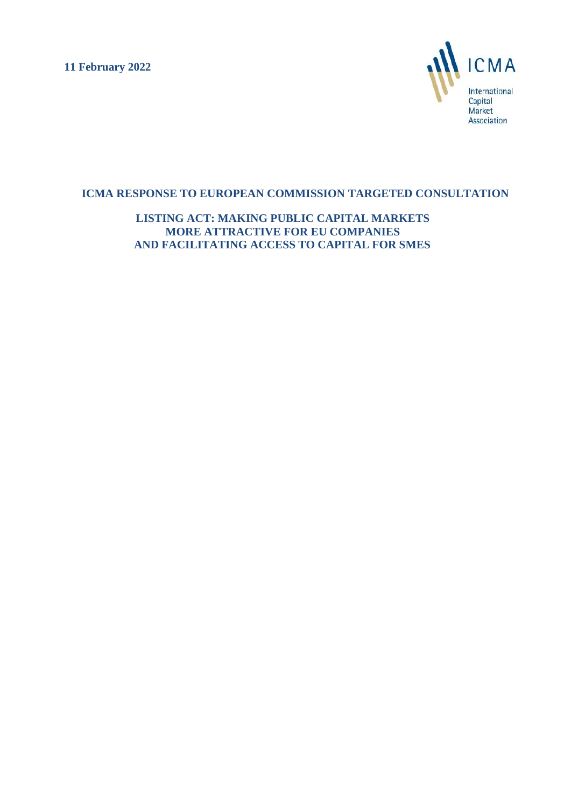**11 February 2022**



# **ICMA RESPONSE TO EUROPEAN COMMISSION TARGETED CONSULTATION**

**LISTING ACT: MAKING PUBLIC CAPITAL MARKETS MORE ATTRACTIVE FOR EU COMPANIES AND FACILITATING ACCESS TO CAPITAL FOR SMES**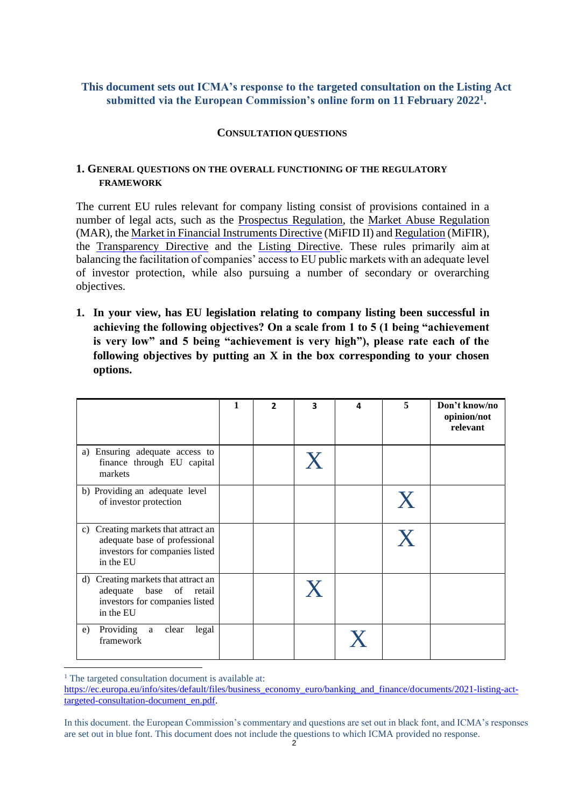# **This document sets out ICMA's response to the targeted consultation on the Listing Act submitted via the European Commission's online form on 11 February 2022<sup>1</sup> .**

### **CONSULTATION QUESTIONS**

### **1. GENERAL QUESTIONS ON THE OVERALL FUNCTIONING OF THE REGULATORY FRAMEWORK**

The current EU rules relevant for company listing consist of provisions contained in a number of legal acts, such as the [Prospectus Regulation,](https://eur-lex.europa.eu/legal-content/EN/TXT/?uri=CELEX%3A32017R1129) the [Market Abuse Regulation](https://eur-lex.europa.eu/legal-content/EN/TXT/?uri=CELEX%3A32014R0596) (MAR), the Market in Financial [Instruments](https://eur-lex.europa.eu/legal-content/EN/TXT/?uri=CELEX%3A32014L0065) Directive (MiFID II) and [Regulation](https://eur-lex.europa.eu/legal-content/EN/TXT/?uri=CELEX%3A32014R0600) (MiFIR), the [Transparency Directive](https://eur-lex.europa.eu/legal-content/EN/ALL/?uri=CELEX%3A32013L0050) and the [Listing Directive. T](https://eur-lex.europa.eu/legal-content/EN/TXT/?uri=celex%3A32001L0034)hese rules primarily aim at balancing the facilitation of companies' access to EU public markets with an adequate level of investor protection, while also pursuing a number of secondary or overarching objectives.

**1. In your view, has EU legislation relating to company listing been successful in achieving the following objectives? On a scale from 1 to 5 (1 being "achievement is very low" and 5 being "achievement is very high"), please rate each of the following objectives by putting an X in the box corresponding to your chosen options.**

|                                                                                                                        | 1 | $\overline{2}$ | 3 | 4 | 5 | Don't know/no<br>opinion/not<br>relevant |
|------------------------------------------------------------------------------------------------------------------------|---|----------------|---|---|---|------------------------------------------|
| a) Ensuring adequate access to<br>finance through EU capital<br>markets                                                |   |                |   |   |   |                                          |
| b) Providing an adequate level<br>of investor protection                                                               |   |                |   |   | X |                                          |
| c) Creating markets that attract an<br>adequate base of professional<br>investors for companies listed<br>in the EU    |   |                |   |   | X |                                          |
| Creating markets that attract an<br>d)<br>adequate<br>base<br>of retail<br>investors for companies listed<br>in the EU |   |                |   |   |   |                                          |
| Providing<br>clear<br>legal<br>a<br>e)<br>framework                                                                    |   |                |   |   |   |                                          |

<sup>&</sup>lt;sup>1</sup> The targeted consultation document is available at:

[https://ec.europa.eu/info/sites/default/files/business\\_economy\\_euro/banking\\_and\\_finance/documents/2021-listing-act](https://ec.europa.eu/info/sites/default/files/business_economy_euro/banking_and_finance/documents/2021-listing-act-targeted-consultation-document_en.pdf)[targeted-consultation-document\\_en.pdf.](https://ec.europa.eu/info/sites/default/files/business_economy_euro/banking_and_finance/documents/2021-listing-act-targeted-consultation-document_en.pdf)

In this document. the European Commission's commentary and questions are set out in black font, and ICMA's responses are set out in blue font. This document does not include the questions to which ICMA provided no response.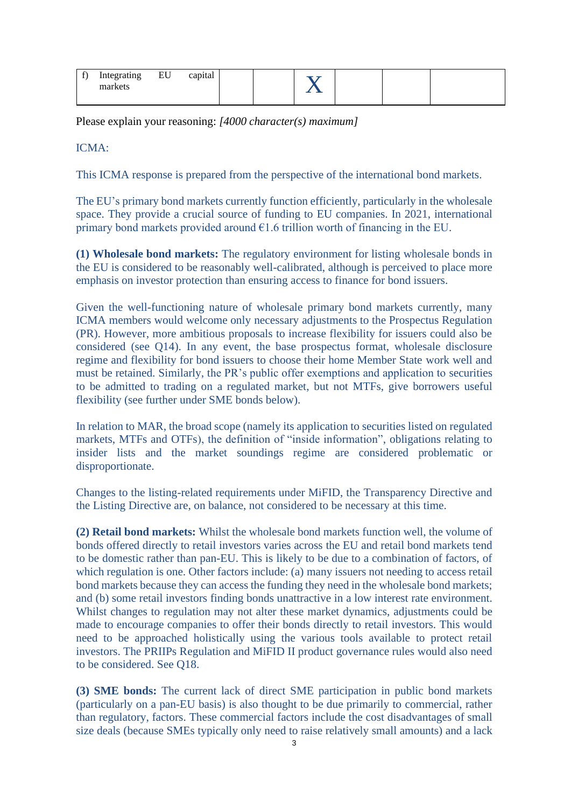| л. | Integrating<br>markets | EU | capital |  |  |  |
|----|------------------------|----|---------|--|--|--|
|    |                        |    |         |  |  |  |

Please explain your reasoning: *[4000 character(s) maximum]*

ICMA:

This ICMA response is prepared from the perspective of the international bond markets.

The EU's primary bond markets currently function efficiently, particularly in the wholesale space. They provide a crucial source of funding to EU companies. In 2021, international primary bond markets provided around  $\epsilon$ 1.6 trillion worth of financing in the EU.

**(1) Wholesale bond markets:** The regulatory environment for listing wholesale bonds in the EU is considered to be reasonably well-calibrated, although is perceived to place more emphasis on investor protection than ensuring access to finance for bond issuers.

Given the well-functioning nature of wholesale primary bond markets currently, many ICMA members would welcome only necessary adjustments to the Prospectus Regulation (PR). However, more ambitious proposals to increase flexibility for issuers could also be considered (see Q14). In any event, the base prospectus format, wholesale disclosure regime and flexibility for bond issuers to choose their home Member State work well and must be retained. Similarly, the PR's public offer exemptions and application to securities to be admitted to trading on a regulated market, but not MTFs, give borrowers useful flexibility (see further under SME bonds below).

In relation to MAR, the broad scope (namely its application to securities listed on regulated markets, MTFs and OTFs), the definition of "inside information", obligations relating to insider lists and the market soundings regime are considered problematic or disproportionate.

Changes to the listing-related requirements under MiFID, the Transparency Directive and the Listing Directive are, on balance, not considered to be necessary at this time.

**(2) Retail bond markets:** Whilst the wholesale bond markets function well, the volume of bonds offered directly to retail investors varies across the EU and retail bond markets tend to be domestic rather than pan-EU. This is likely to be due to a combination of factors, of which regulation is one. Other factors include: (a) many issuers not needing to access retail bond markets because they can access the funding they need in the wholesale bond markets; and (b) some retail investors finding bonds unattractive in a low interest rate environment. Whilst changes to regulation may not alter these market dynamics, adjustments could be made to encourage companies to offer their bonds directly to retail investors. This would need to be approached holistically using the various tools available to protect retail investors. The PRIIPs Regulation and MiFID II product governance rules would also need to be considered. See Q18.

**(3) SME bonds:** The current lack of direct SME participation in public bond markets (particularly on a pan-EU basis) is also thought to be due primarily to commercial, rather than regulatory, factors. These commercial factors include the cost disadvantages of small size deals (because SMEs typically only need to raise relatively small amounts) and a lack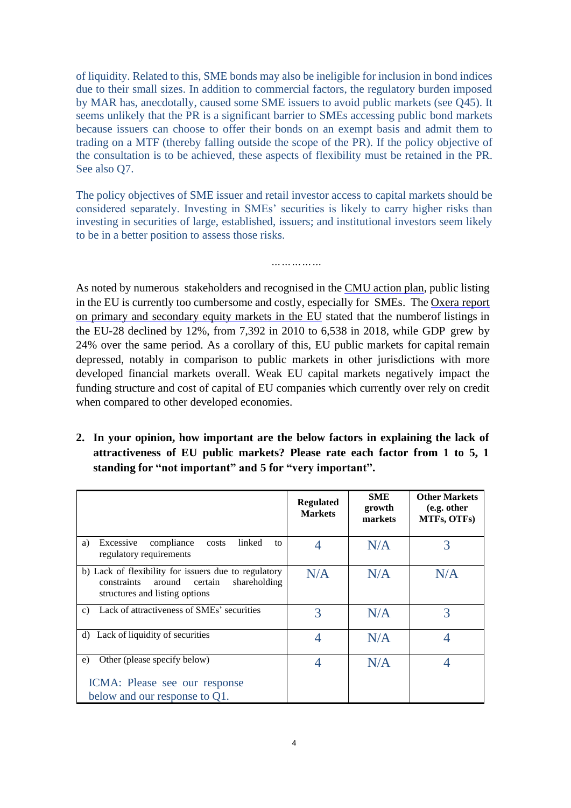of liquidity. Related to this, SME bonds may also be ineligible for inclusion in bond indices due to their small sizes. In addition to commercial factors, the regulatory burden imposed by MAR has, anecdotally, caused some SME issuers to avoid public markets (see Q45). It seems unlikely that the PR is a significant barrier to SMEs accessing public bond markets because issuers can choose to offer their bonds on an exempt basis and admit them to trading on a MTF (thereby falling outside the scope of the PR). If the policy objective of the consultation is to be achieved, these aspects of flexibility must be retained in the PR. See also Q7.

The policy objectives of SME issuer and retail investor access to capital markets should be considered separately. Investing in SMEs' securities is likely to carry higher risks than investing in securities of large, established, issuers; and institutional investors seem likely to be in a better position to assess those risks.

*……………*

As noted by numerous stakeholders and recognised in the [CMU action plan,](https://ec.europa.eu/info/business-economy-euro/growth-and-investment/capital-markets-union/capital-markets-union-2020-action-plan_en) public listing in the EU is currently too cumbersome and costly, especially for SMEs. The [Oxera](https://op.europa.eu/en/publication-detail/-/publication/54e82687-27bb-11eb-9d7e-01aa75ed71a1/language-en/format-PDF/source-search) report on primary and [secondary](https://op.europa.eu/en/publication-detail/-/publication/54e82687-27bb-11eb-9d7e-01aa75ed71a1/language-en/format-PDF/source-search) equity markets in the EU stated that the numberof listings in the EU-28 declined by 12%, from 7,392 in 2010 to 6,538 in 2018, while GDP grew by 24% over the same period. As a corollary of this, EU public markets for capital remain depressed, notably in comparison to public markets in other jurisdictions with more developed financial markets overall. Weak EU capital markets negatively impact the funding structure and cost of capital of EU companies which currently over rely on credit when compared to other developed economies.

**2. In your opinion, how important are the below factors in explaining the lack of attractiveness of EU public markets? Please rate each factor from 1 to 5, 1 standing for "not important" and 5 for "very important".**

|                                                                                                                                            | <b>Regulated</b><br><b>Markets</b> | <b>SME</b><br>growth<br>markets | <b>Other Markets</b><br>(e.g. other<br>MTFs, OTFs) |
|--------------------------------------------------------------------------------------------------------------------------------------------|------------------------------------|---------------------------------|----------------------------------------------------|
| linked<br>Excessive<br>compliance<br>a)<br>costs<br>to<br>regulatory requirements                                                          |                                    | N/A                             | 3                                                  |
| b) Lack of flexibility for issuers due to regulatory<br>constraints<br>around<br>shareholding<br>certain<br>structures and listing options | N/A                                | N/A                             | N/A                                                |
| Lack of attractiveness of SMEs' securities<br>C)                                                                                           | 3                                  | N/A                             | 3                                                  |
| Lack of liquidity of securities<br>d)                                                                                                      | 4                                  | N/A                             | 4                                                  |
| Other (please specify below)<br>e)                                                                                                         | 4                                  | N/A                             |                                                    |
| ICMA: Please see our response<br>below and our response to Q1.                                                                             |                                    |                                 |                                                    |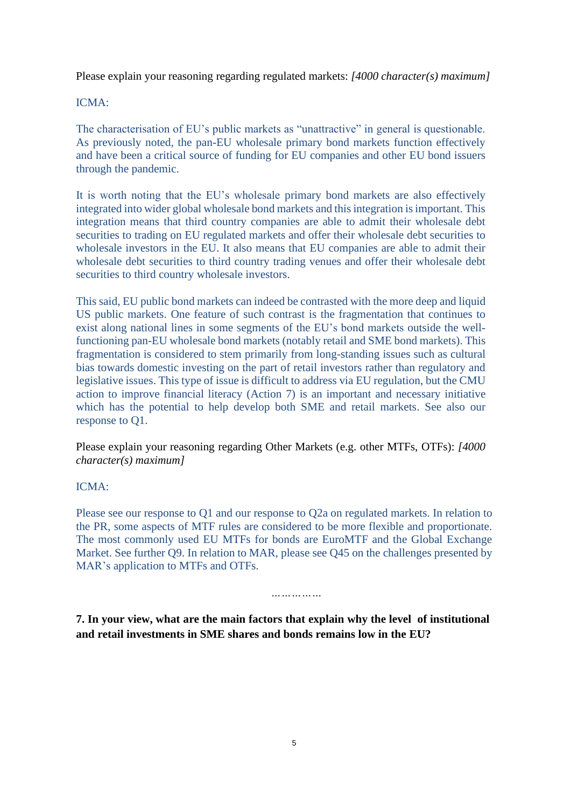Please explain your reasoning regarding regulated markets: *[4000 character(s) maximum]*

ICMA:

The characterisation of EU's public markets as "unattractive" in general is questionable. As previously noted, the pan-EU wholesale primary bond markets function effectively and have been a critical source of funding for EU companies and other EU bond issuers through the pandemic.

It is worth noting that the EU's wholesale primary bond markets are also effectively integrated into wider global wholesale bond markets and this integration is important. This integration means that third country companies are able to admit their wholesale debt securities to trading on EU regulated markets and offer their wholesale debt securities to wholesale investors in the EU. It also means that EU companies are able to admit their wholesale debt securities to third country trading venues and offer their wholesale debt securities to third country wholesale investors.

This said, EU public bond markets can indeed be contrasted with the more deep and liquid US public markets. One feature of such contrast is the fragmentation that continues to exist along national lines in some segments of the EU's bond markets outside the wellfunctioning pan-EU wholesale bond markets (notably retail and SME bond markets). This fragmentation is considered to stem primarily from long-standing issues such as cultural bias towards domestic investing on the part of retail investors rather than regulatory and legislative issues. This type of issue is difficult to address via EU regulation, but the CMU action to improve financial literacy (Action 7) is an important and necessary initiative which has the potential to help develop both SME and retail markets. See also our response to Q1.

Please explain your reasoning regarding Other Markets (e.g. other MTFs, OTFs): *[4000 character(s) maximum]*

ICMA:

Please see our response to Q1 and our response to Q2a on regulated markets. In relation to the PR, some aspects of MTF rules are considered to be more flexible and proportionate. The most commonly used EU MTFs for bonds are EuroMTF and the Global Exchange Market. See further Q9. In relation to MAR, please see Q45 on the challenges presented by MAR's application to MTFs and OTFs.

*……………*

**7. In your view, what are the main factors that explain why the level of institutional and retail investments in SME shares and bonds remains low in the EU?**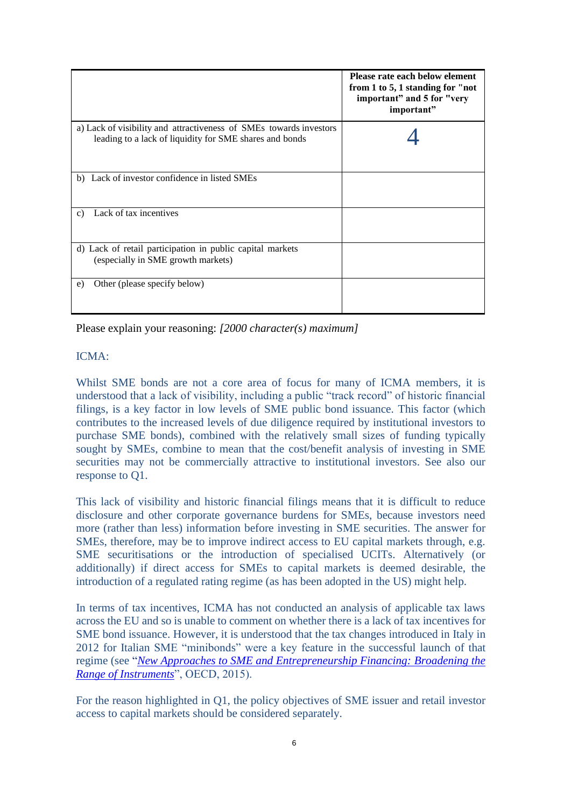|                                                                                                                               | Please rate each below element<br>from 1 to 5, 1 standing for "not"<br>important" and 5 for "very<br>important" |
|-------------------------------------------------------------------------------------------------------------------------------|-----------------------------------------------------------------------------------------------------------------|
| a) Lack of visibility and attractiveness of SMEs towards investors<br>leading to a lack of liquidity for SME shares and bonds |                                                                                                                 |
| b) Lack of investor confidence in listed SMEs                                                                                 |                                                                                                                 |
| Lack of tax incentives<br>$\mathbf{c}$ )                                                                                      |                                                                                                                 |
| d) Lack of retail participation in public capital markets<br>(especially in SME growth markets)                               |                                                                                                                 |
| Other (please specify below)<br>e)                                                                                            |                                                                                                                 |

Please explain your reasoning: *[2000 character(s) maximum]*

# ICMA:

Whilst SME bonds are not a core area of focus for many of ICMA members, it is understood that a lack of visibility, including a public "track record" of historic financial filings, is a key factor in low levels of SME public bond issuance. This factor (which contributes to the increased levels of due diligence required by institutional investors to purchase SME bonds), combined with the relatively small sizes of funding typically sought by SMEs, combine to mean that the cost/benefit analysis of investing in SME securities may not be commercially attractive to institutional investors. See also our response to Q1.

This lack of visibility and historic financial filings means that it is difficult to reduce disclosure and other corporate governance burdens for SMEs, because investors need more (rather than less) information before investing in SME securities. The answer for SMEs, therefore, may be to improve indirect access to EU capital markets through, e.g. SME securitisations or the introduction of specialised UCITs. Alternatively (or additionally) if direct access for SMEs to capital markets is deemed desirable, the introduction of a regulated rating regime (as has been adopted in the US) might help.

In terms of tax incentives, ICMA has not conducted an analysis of applicable tax laws across the EU and so is unable to comment on whether there is a lack of tax incentives for SME bond issuance. However, it is understood that the tax changes introduced in Italy in 2012 for Italian SME "minibonds" were a key feature in the successful launch of that regime (see "*[New Approaches to SME and Entrepreneurship Financing: Broadening the](https://www.oecd.org/cfe/smes/New-Approaches-SME-full-report.pdf)  [Range of Instruments](https://www.oecd.org/cfe/smes/New-Approaches-SME-full-report.pdf)*", OECD, 2015).

For the reason highlighted in Q1, the policy objectives of SME issuer and retail investor access to capital markets should be considered separately.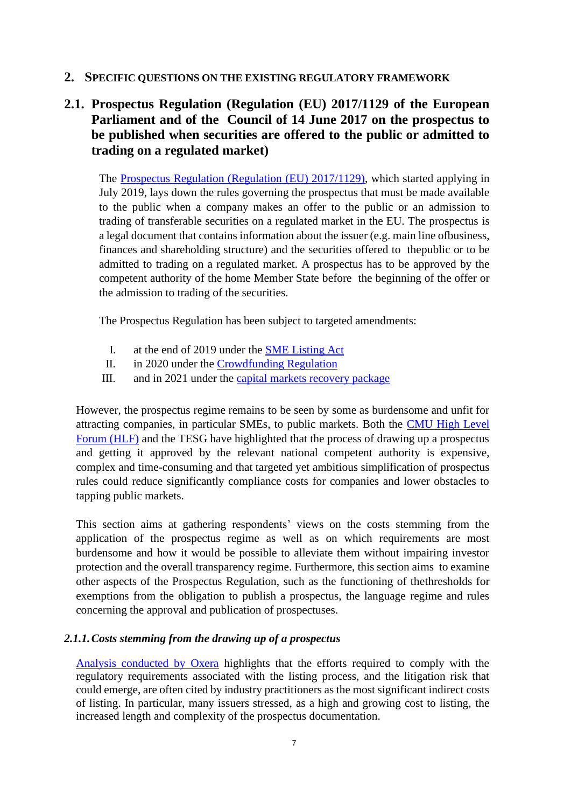# **2. SPECIFIC QUESTIONS ON THE EXISTING REGULATORY FRAMEWORK**

# **2.1. Prospectus Regulation (Regulation (EU) 2017/1129 of the European Parliament and of the Council of 14 June 2017 on the prospectus to be published when securities are offered to the public or admitted to trading on a regulated market)**

The [Prospectus Regulation \(Regulation \(EU\) 2017/1129\),](https://eur-lex.europa.eu/legal-content/EN/TXT/?uri=CELEX%3A32017R1129) which started applying in July 2019, lays down the rules governing the prospectus that must be made available to the public when a company makes an offer to the public or an admission to trading of transferable securities on a regulated market in the EU. The prospectus is a legal document that contains information about the issuer (e.g. main line ofbusiness, finances and shareholding structure) and the securities offered to thepublic or to be admitted to trading on a regulated market. A prospectus has to be approved by the competent authority of the home Member State before the beginning of the offer or the admission to trading of the securities.

The Prospectus Regulation has been subject to targeted amendments:

- I. at the end of 2019 under the SME [Listing](https://eur-lex.europa.eu/legal-content/EN/TXT/?uri=CELEX%3A32019R2115) Act
- II. in 2020 under the [Crowdfunding](https://eur-lex.europa.eu/legal-content/EN/TXT/?uri=CELEX%3A32020R1503) Regulation
- III. and in 2021 under the [capital markets recovery](https://ec.europa.eu/info/publications/200722-proposal-capital-markets-recovery_en) package

However, the prospectus regime remains to be seen by some as burdensome and unfit for attracting companies, in particular SMEs, to public markets. Both the [CMU High Level](https://ec.europa.eu/info/publications/cmu-high-level-forum_en) [Forum \(HLF\)](https://ec.europa.eu/info/publications/cmu-high-level-forum_en) and the TESG have highlighted that the process of drawing up a prospectus and getting it approved by the relevant national competent authority is expensive, complex and time-consuming and that targeted yet ambitious simplification of prospectus rules could reduce significantly compliance costs for companies and lower obstacles to tapping public markets.

This section aims at gathering respondents' views on the costs stemming from the application of the prospectus regime as well as on which requirements are most burdensome and how it would be possible to alleviate them without impairing investor protection and the overall transparency regime. Furthermore, this section aims to examine other aspects of the Prospectus Regulation, such as the functioning of thethresholds for exemptions from the obligation to publish a prospectus, the language regime and rules concerning the approval and publication of prospectuses.

# *2.1.1.Costs stemming from the drawing up of a prospectus*

[Analysis conducted by Oxera](https://op.europa.eu/en/publication-detail/-/publication/54e82687-27bb-11eb-9d7e-01aa75ed71a1/language-en/format-PDF/source-search) highlights that the efforts required to comply with the regulatory requirements associated with the listing process, and the litigation risk that could emerge, are often cited by industry practitioners as the most significant indirect costs of listing. In particular, many issuers stressed, as a high and growing cost to listing, the increased length and complexity of the prospectus documentation.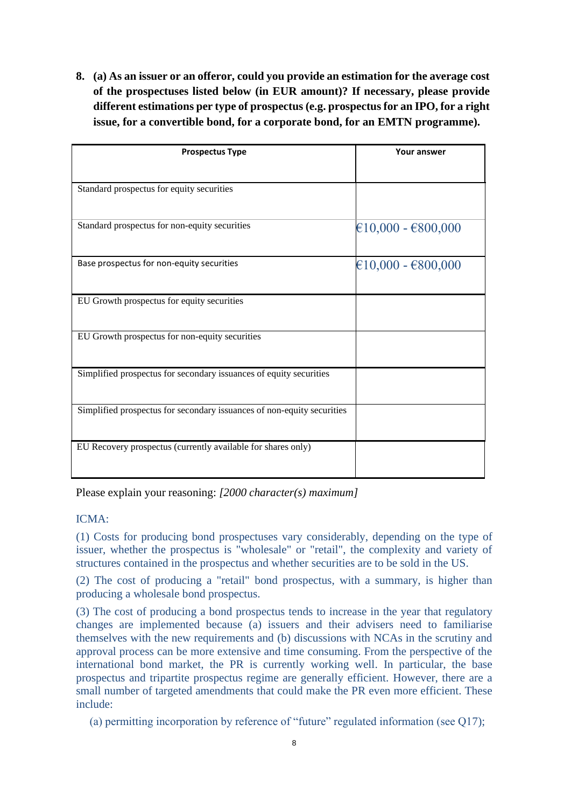**8. (a) As an issuer or an offeror, could you provide an estimation for the average cost of the prospectuses listed below (in EUR amount)? If necessary, please provide different estimations per type of prospectus (e.g. prospectus for an IPO, for a right issue, for a convertible bond, for a corporate bond, for an EMTN programme).**

| <b>Prospectus Type</b>                                                 | <b>Your answer</b>   |
|------------------------------------------------------------------------|----------------------|
|                                                                        |                      |
| Standard prospectus for equity securities                              |                      |
| Standard prospectus for non-equity securities                          | $€10,000 - €800,000$ |
| Base prospectus for non-equity securities                              | $€10,000 - €800,000$ |
| EU Growth prospectus for equity securities                             |                      |
| EU Growth prospectus for non-equity securities                         |                      |
| Simplified prospectus for secondary issuances of equity securities     |                      |
| Simplified prospectus for secondary issuances of non-equity securities |                      |
| EU Recovery prospectus (currently available for shares only)           |                      |

Please explain your reasoning: *[2000 character(s) maximum]*

# ICMA:

(1) Costs for producing bond prospectuses vary considerably, depending on the type of issuer, whether the prospectus is "wholesale" or "retail", the complexity and variety of structures contained in the prospectus and whether securities are to be sold in the US.

(2) The cost of producing a "retail" bond prospectus, with a summary, is higher than producing a wholesale bond prospectus.

(3) The cost of producing a bond prospectus tends to increase in the year that regulatory changes are implemented because (a) issuers and their advisers need to familiarise themselves with the new requirements and (b) discussions with NCAs in the scrutiny and approval process can be more extensive and time consuming. From the perspective of the international bond market, the PR is currently working well. In particular, the base prospectus and tripartite prospectus regime are generally efficient. However, there are a small number of targeted amendments that could make the PR even more efficient. These include:

(a) permitting incorporation by reference of "future" regulated information (see Q17);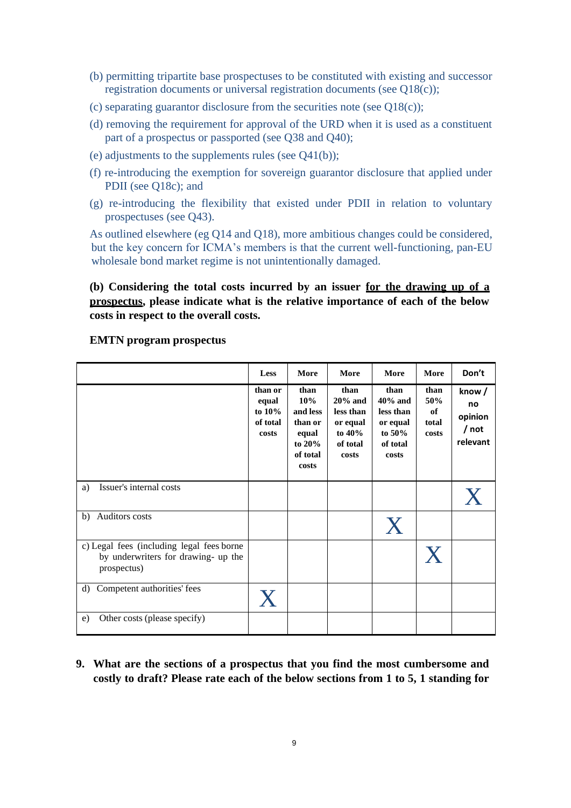- (b) permitting tripartite base prospectuses to be constituted with existing and successor registration documents or universal registration documents (see Q18(c));
- (c) separating guarantor disclosure from the securities note (see  $Q18(c)$ );
- (d) removing the requirement for approval of the URD when it is used as a constituent part of a prospectus or passported (see Q38 and Q40);
- (e) adjustments to the supplements rules (see Q41(b));
- (f) re-introducing the exemption for sovereign guarantor disclosure that applied under PDII (see Q18c); and
- (g) re-introducing the flexibility that existed under PDII in relation to voluntary prospectuses (see Q43).

As outlined elsewhere (eg Q14 and Q18), more ambitious changes could be considered, but the key concern for ICMA's members is that the current well-functioning, pan-EU wholesale bond market regime is not unintentionally damaged.

**(b) Considering the total costs incurred by an issuer for the drawing up of a prospectus, please indicate what is the relative importance of each of the below costs in respect to the overall costs.**

|                                                                                                 | Less                                               | More                                                                       | More                                                                         | More                                                                          | More                                | Don't                                       |
|-------------------------------------------------------------------------------------------------|----------------------------------------------------|----------------------------------------------------------------------------|------------------------------------------------------------------------------|-------------------------------------------------------------------------------|-------------------------------------|---------------------------------------------|
|                                                                                                 | than or<br>equal<br>to $10\%$<br>of total<br>costs | than<br>10%<br>and less<br>than or<br>equal<br>to 20%<br>of total<br>costs | than<br>$20%$ and<br>less than<br>or equal<br>to $40\%$<br>of total<br>costs | than<br>$40\%$ and<br>less than<br>or equal<br>to $50\%$<br>of total<br>costs | than<br>50%<br>of<br>total<br>costs | know/<br>no<br>opinion<br>/ not<br>relevant |
| Issuer's internal costs<br>a)                                                                   |                                                    |                                                                            |                                                                              |                                                                               |                                     |                                             |
| Auditors costs<br>b)                                                                            |                                                    |                                                                            |                                                                              | X                                                                             |                                     |                                             |
| c) Legal fees (including legal fees borne<br>by underwriters for drawing- up the<br>prospectus) |                                                    |                                                                            |                                                                              |                                                                               | X                                   |                                             |
| Competent authorities' fees<br>d)                                                               | $\mathbf{X}$                                       |                                                                            |                                                                              |                                                                               |                                     |                                             |
| Other costs (please specify)<br>e)                                                              |                                                    |                                                                            |                                                                              |                                                                               |                                     |                                             |

#### **EMTN program prospectus**

**9. What are the sections of a prospectus that you find the most cumbersome and costly to draft? Please rate each of the below sections from 1 to 5, 1 standing for**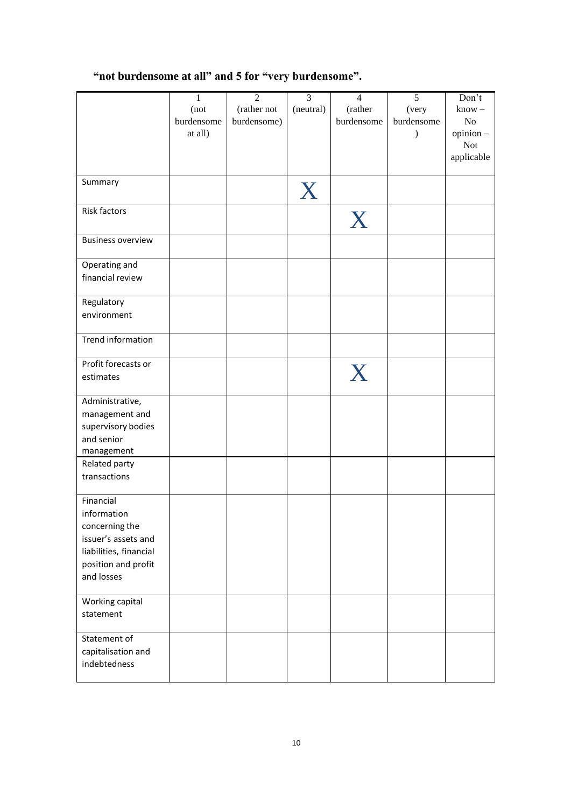# **"not burdensome at all" and 5 for "very burdensome".**

|                          | $\mathbf{1}$ | $\overline{2}$ | $\overline{3}$ | $\overline{4}$ | $\overline{5}$ | Don't      |
|--------------------------|--------------|----------------|----------------|----------------|----------------|------------|
|                          |              |                |                |                |                |            |
|                          | (not         | (rather not    | (neutral)      | (rather        | (very          | $know -$   |
|                          | burdensome   | burdensome)    |                | burdensome     | burdensome     | No         |
|                          | at all)      |                |                |                | $\lambda$      | opinion-   |
|                          |              |                |                |                |                | <b>Not</b> |
|                          |              |                |                |                |                | applicable |
|                          |              |                |                |                |                |            |
| Summary                  |              |                |                |                |                |            |
|                          |              |                | X              |                |                |            |
|                          |              |                |                |                |                |            |
| Risk factors             |              |                |                | X              |                |            |
|                          |              |                |                |                |                |            |
| <b>Business overview</b> |              |                |                |                |                |            |
|                          |              |                |                |                |                |            |
| Operating and            |              |                |                |                |                |            |
| financial review         |              |                |                |                |                |            |
|                          |              |                |                |                |                |            |
| Regulatory               |              |                |                |                |                |            |
| environment              |              |                |                |                |                |            |
|                          |              |                |                |                |                |            |
|                          |              |                |                |                |                |            |
| Trend information        |              |                |                |                |                |            |
|                          |              |                |                |                |                |            |
| Profit forecasts or      |              |                |                | X              |                |            |
| estimates                |              |                |                |                |                |            |
|                          |              |                |                |                |                |            |
| Administrative,          |              |                |                |                |                |            |
| management and           |              |                |                |                |                |            |
| supervisory bodies       |              |                |                |                |                |            |
| and senior               |              |                |                |                |                |            |
| management               |              |                |                |                |                |            |
| Related party            |              |                |                |                |                |            |
| transactions             |              |                |                |                |                |            |
|                          |              |                |                |                |                |            |
| Financial                |              |                |                |                |                |            |
| information              |              |                |                |                |                |            |
|                          |              |                |                |                |                |            |
| concerning the           |              |                |                |                |                |            |
| issuer's assets and      |              |                |                |                |                |            |
| liabilities, financial   |              |                |                |                |                |            |
| position and profit      |              |                |                |                |                |            |
| and losses               |              |                |                |                |                |            |
|                          |              |                |                |                |                |            |
| Working capital          |              |                |                |                |                |            |
| statement                |              |                |                |                |                |            |
|                          |              |                |                |                |                |            |
| Statement of             |              |                |                |                |                |            |
| capitalisation and       |              |                |                |                |                |            |
| indebtedness             |              |                |                |                |                |            |
|                          |              |                |                |                |                |            |
|                          |              |                |                |                |                |            |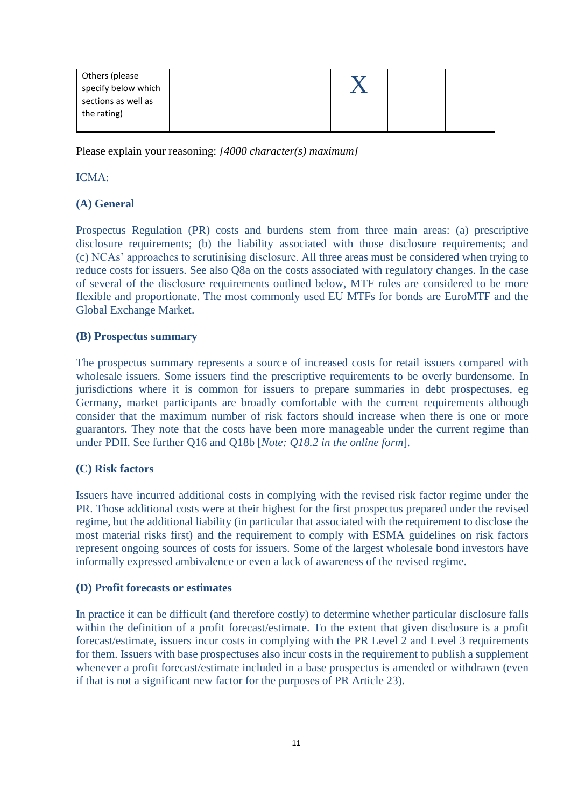| Others (please      |  |  |  |
|---------------------|--|--|--|
| specify below which |  |  |  |
| sections as well as |  |  |  |
| the rating)         |  |  |  |
|                     |  |  |  |

Please explain your reasoning: *[4000 character(s) maximum]*

### ICMA:

# **(A) General**

Prospectus Regulation (PR) costs and burdens stem from three main areas: (a) prescriptive disclosure requirements; (b) the liability associated with those disclosure requirements; and (c) NCAs' approaches to scrutinising disclosure. All three areas must be considered when trying to reduce costs for issuers. See also Q8a on the costs associated with regulatory changes. In the case of several of the disclosure requirements outlined below, MTF rules are considered to be more flexible and proportionate. The most commonly used EU MTFs for bonds are EuroMTF and the Global Exchange Market.

### **(B) Prospectus summary**

The prospectus summary represents a source of increased costs for retail issuers compared with wholesale issuers. Some issuers find the prescriptive requirements to be overly burdensome. In jurisdictions where it is common for issuers to prepare summaries in debt prospectuses, eg Germany, market participants are broadly comfortable with the current requirements although consider that the maximum number of risk factors should increase when there is one or more guarantors. They note that the costs have been more manageable under the current regime than under PDII. See further Q16 and Q18b [*Note: Q18.2 in the online form*].

### **(C) Risk factors**

Issuers have incurred additional costs in complying with the revised risk factor regime under the PR. Those additional costs were at their highest for the first prospectus prepared under the revised regime, but the additional liability (in particular that associated with the requirement to disclose the most material risks first) and the requirement to comply with ESMA guidelines on risk factors represent ongoing sources of costs for issuers. Some of the largest wholesale bond investors have informally expressed ambivalence or even a lack of awareness of the revised regime.

### **(D) Profit forecasts or estimates**

In practice it can be difficult (and therefore costly) to determine whether particular disclosure falls within the definition of a profit forecast/estimate. To the extent that given disclosure is a profit forecast/estimate, issuers incur costs in complying with the PR Level 2 and Level 3 requirements for them. Issuers with base prospectuses also incur costs in the requirement to publish a supplement whenever a profit forecast/estimate included in a base prospectus is amended or withdrawn (even if that is not a significant new factor for the purposes of PR Article 23).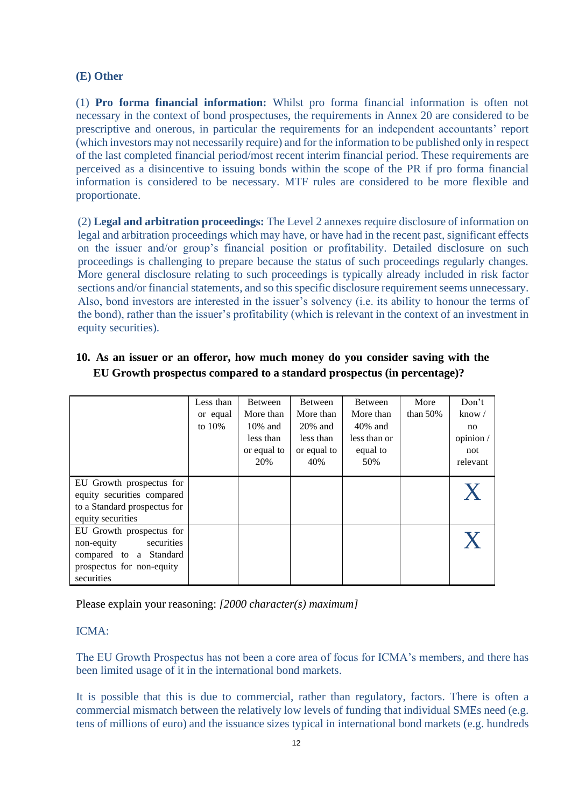### **(E) Other**

(1) **Pro forma financial information:** Whilst pro forma financial information is often not necessary in the context of bond prospectuses, the requirements in Annex 20 are considered to be prescriptive and onerous, in particular the requirements for an independent accountants' report (which investors may not necessarily require) and for the information to be published only in respect of the last completed financial period/most recent interim financial period. These requirements are perceived as a disincentive to issuing bonds within the scope of the PR if pro forma financial information is considered to be necessary. MTF rules are considered to be more flexible and proportionate.

(2) **Legal and arbitration proceedings:** The Level 2 annexes require disclosure of information on legal and arbitration proceedings which may have, or have had in the recent past, significant effects on the issuer and/or group's financial position or profitability. Detailed disclosure on such proceedings is challenging to prepare because the status of such proceedings regularly changes. More general disclosure relating to such proceedings is typically already included in risk factor sections and/or financial statements, and so this specific disclosure requirement seems unnecessary. Also, bond investors are interested in the issuer's solvency (i.e. its ability to honour the terms of the bond), rather than the issuer's profitability (which is relevant in the context of an investment in equity securities).

|                              | Less than | <b>Between</b> | <b>Between</b> | <b>Between</b> | More        | Don't          |
|------------------------------|-----------|----------------|----------------|----------------|-------------|----------------|
|                              | or equal  | More than      | More than      | More than      | than $50\%$ | know $\sqrt{}$ |
|                              | to $10%$  | $10\%$ and     | $20\%$ and     | $40\%$ and     |             | no             |
|                              |           | less than      | less than      | less than or   |             | opinion /      |
|                              |           | or equal to    | or equal to    | equal to       |             | not            |
|                              |           | 20%            | 40%            | 50%            |             | relevant       |
| EU Growth prospectus for     |           |                |                |                |             |                |
| equity securities compared   |           |                |                |                |             |                |
| to a Standard prospectus for |           |                |                |                |             |                |
| equity securities            |           |                |                |                |             |                |
| EU Growth prospectus for     |           |                |                |                |             |                |
| securities<br>non-equity     |           |                |                |                |             |                |
| compared to a Standard       |           |                |                |                |             |                |
| prospectus for non-equity    |           |                |                |                |             |                |
| securities                   |           |                |                |                |             |                |

**10. As an issuer or an offeror, how much money do you consider saving with the EU Growth prospectus compared to a standard prospectus (in percentage)?**

Please explain your reasoning: *[2000 character(s) maximum]*

### ICMA:

The EU Growth Prospectus has not been a core area of focus for ICMA's members, and there has been limited usage of it in the international bond markets.

It is possible that this is due to commercial, rather than regulatory, factors. There is often a commercial mismatch between the relatively low levels of funding that individual SMEs need (e.g. tens of millions of euro) and the issuance sizes typical in international bond markets (e.g. hundreds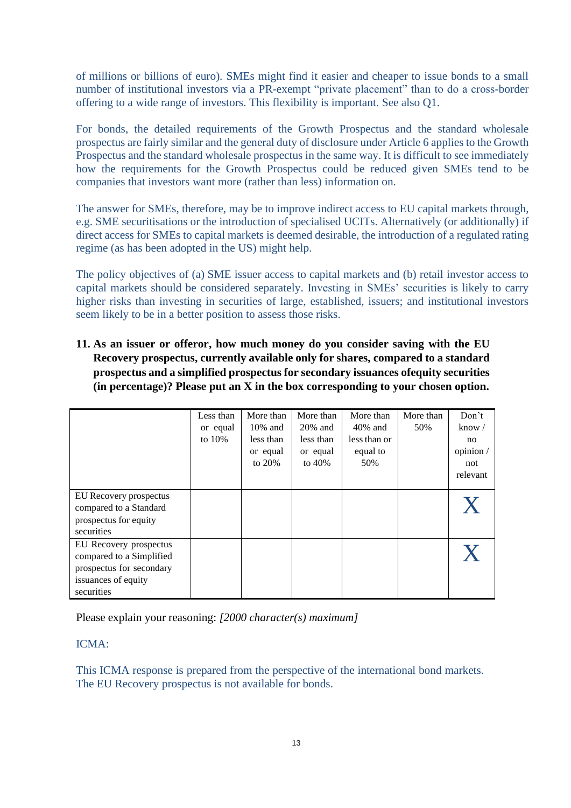of millions or billions of euro). SMEs might find it easier and cheaper to issue bonds to a small number of institutional investors via a PR-exempt "private placement" than to do a cross-border offering to a wide range of investors. This flexibility is important. See also Q1.

For bonds, the detailed requirements of the Growth Prospectus and the standard wholesale prospectus are fairly similar and the general duty of disclosure under Article 6 applies to the Growth Prospectus and the standard wholesale prospectus in the same way. It is difficult to see immediately how the requirements for the Growth Prospectus could be reduced given SMEs tend to be companies that investors want more (rather than less) information on.

The answer for SMEs, therefore, may be to improve indirect access to EU capital markets through, e.g. SME securitisations or the introduction of specialised UCITs. Alternatively (or additionally) if direct access for SMEs to capital markets is deemed desirable, the introduction of a regulated rating regime (as has been adopted in the US) might help.

The policy objectives of (a) SME issuer access to capital markets and (b) retail investor access to capital markets should be considered separately. Investing in SMEs' securities is likely to carry higher risks than investing in securities of large, established, issuers; and institutional investors seem likely to be in a better position to assess those risks.

**11. As an issuer or offeror, how much money do you consider saving with the EU Recovery prospectus, currently available only for shares, compared to a standard prospectus and a simplified prospectus for secondary issuances ofequity securities (in percentage)? Please put an X in the box corresponding to your chosen option.**

|                          | Less than | More than  | More than  | More than    | More than | Don't          |
|--------------------------|-----------|------------|------------|--------------|-----------|----------------|
|                          | or equal  | $10\%$ and | $20\%$ and | $40\%$ and   | 50%       | know $\sqrt{}$ |
|                          | to $10\%$ | less than  | less than  | less than or |           | no             |
|                          |           | or equal   | or equal   | equal to     |           | opinion /      |
|                          |           | to $20%$   | to $40%$   | 50%          |           | not            |
|                          |           |            |            |              |           | relevant       |
|                          |           |            |            |              |           |                |
| EU Recovery prospectus   |           |            |            |              |           |                |
| compared to a Standard   |           |            |            |              |           |                |
| prospectus for equity    |           |            |            |              |           |                |
| securities               |           |            |            |              |           |                |
| EU Recovery prospectus   |           |            |            |              |           |                |
| compared to a Simplified |           |            |            |              |           |                |
| prospectus for secondary |           |            |            |              |           |                |
| issuances of equity      |           |            |            |              |           |                |
| securities               |           |            |            |              |           |                |

Please explain your reasoning: *[2000 character(s) maximum]*

ICMA:

This ICMA response is prepared from the perspective of the international bond markets. The EU Recovery prospectus is not available for bonds.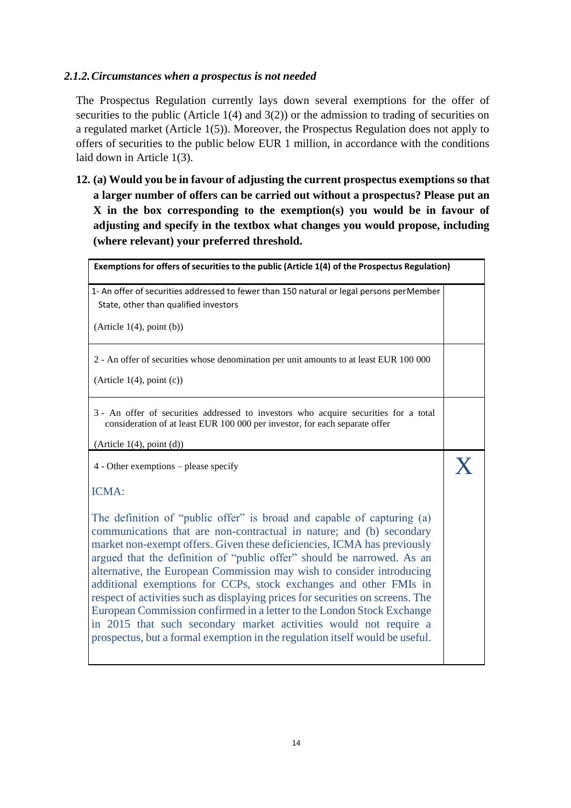# *2.1.2.Circumstances when a prospectus is not needed*

The Prospectus Regulation currently lays down several exemptions for the offer of securities to the public (Article  $1(4)$  and  $3(2)$ ) or the admission to trading of securities on a regulated market (Article 1(5)). Moreover, the Prospectus Regulation does not apply to offers of securities to the public below EUR 1 million, in accordance with the conditions laid down in Article 1(3).

**12. (a) Would you be in favour of adjusting the current prospectus exemptions so that a larger number of offers can be carried out without a prospectus? Please put an X in the box corresponding to the exemption(s) you would be in favour of adjusting and specify in the textbox what changes you would propose, including (where relevant) your preferred threshold.**

| Exemptions for offers of securities to the public (Article 1(4) of the Prospectus Regulation)                                                                                                                                                                                                                                                                                                                                                                                                                                                                                                                                                                                                                                                                      |  |
|--------------------------------------------------------------------------------------------------------------------------------------------------------------------------------------------------------------------------------------------------------------------------------------------------------------------------------------------------------------------------------------------------------------------------------------------------------------------------------------------------------------------------------------------------------------------------------------------------------------------------------------------------------------------------------------------------------------------------------------------------------------------|--|
| 1- An offer of securities addressed to fewer than 150 natural or legal persons perMember<br>State, other than qualified investors                                                                                                                                                                                                                                                                                                                                                                                                                                                                                                                                                                                                                                  |  |
| (Article 1(4), point (b))                                                                                                                                                                                                                                                                                                                                                                                                                                                                                                                                                                                                                                                                                                                                          |  |
| 2 - An offer of securities whose denomination per unit amounts to at least EUR 100 000                                                                                                                                                                                                                                                                                                                                                                                                                                                                                                                                                                                                                                                                             |  |
| (Article $1(4)$ , point (c))                                                                                                                                                                                                                                                                                                                                                                                                                                                                                                                                                                                                                                                                                                                                       |  |
| 3 - An offer of securities addressed to investors who acquire securities for a total<br>consideration of at least EUR 100 000 per investor, for each separate offer                                                                                                                                                                                                                                                                                                                                                                                                                                                                                                                                                                                                |  |
| (Article 1(4), point (d))                                                                                                                                                                                                                                                                                                                                                                                                                                                                                                                                                                                                                                                                                                                                          |  |
| $4$ - Other exemptions – please specify                                                                                                                                                                                                                                                                                                                                                                                                                                                                                                                                                                                                                                                                                                                            |  |
| ICMA:                                                                                                                                                                                                                                                                                                                                                                                                                                                                                                                                                                                                                                                                                                                                                              |  |
| The definition of "public offer" is broad and capable of capturing (a)<br>communications that are non-contractual in nature; and (b) secondary<br>market non-exempt offers. Given these deficiencies, ICMA has previously<br>argued that the definition of "public offer" should be narrowed. As an<br>alternative, the European Commission may wish to consider introducing<br>additional exemptions for CCPs, stock exchanges and other FMIs in<br>respect of activities such as displaying prices for securities on screens. The<br>European Commission confirmed in a letter to the London Stock Exchange<br>in 2015 that such secondary market activities would not require a<br>prospectus, but a formal exemption in the regulation itself would be useful. |  |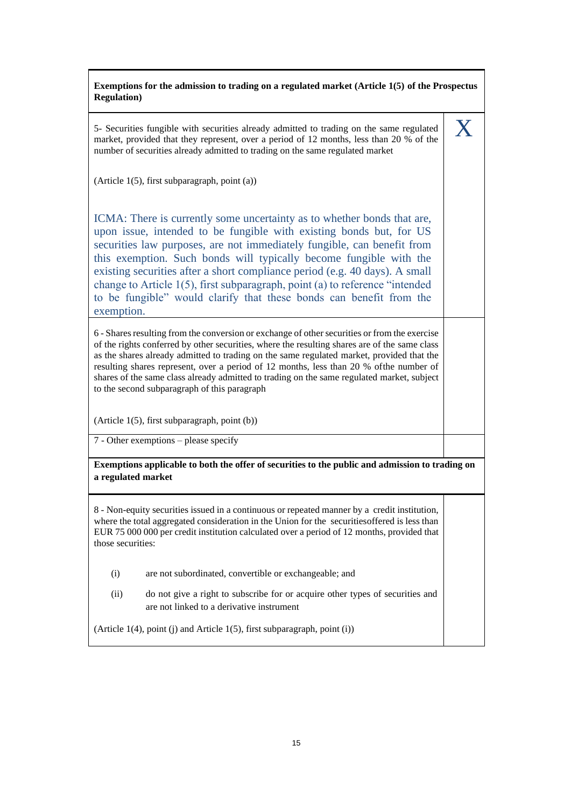# **Exemptions for the admission to trading on a regulated market (Article 1(5) of the Prospectus Regulation)** 5- Securities fungible with securities already admitted to trading on the same regulated market, provided that they represent, over a period of 12 months, less than 20 % of the number of securities already admitted to trading on the same regulated market (Article 1(5), first subparagraph, point (a)) ICMA: There is currently some uncertainty as to whether bonds that are, upon issue, intended to be fungible with existing bonds but, for US securities law purposes, are not immediately fungible, can benefit from this exemption. Such bonds will typically become fungible with the existing securities after a short compliance period (e.g. 40 days). A small change to Article 1(5), first subparagraph, point (a) to reference "intended to be fungible" would clarify that these bonds can benefit from the exemption. X 6 - Shares resulting from the conversion or exchange of other securities or from the exercise of the rights conferred by other securities, where the resulting shares are of the same class as the shares already admitted to trading on the same regulated market, provided that the resulting shares represent, over a period of 12 months, less than 20 % ofthe number of shares of the same class already admitted to trading on the same regulated market, subject to the second subparagraph of this paragraph (Article 1(5), first subparagraph, point (b)) 7 - Other exemptions – please specify **Exemptions applicable to both the offer of securities to the public and admission to trading on a regulated market** 8 - Non-equity securities issued in a continuous or repeated manner by a credit institution, where the total aggregated consideration in the Union for the securitiesoffered is less than EUR 75 000 000 per credit institution calculated over a period of 12 months, provided that those securities: (i) are not subordinated, convertible or exchangeable; and (ii) do not give a right to subscribe for or acquire other types of securities and are not linked to a derivative instrument (Article 1(4), point (j) and Article 1(5), first subparagraph, point (i))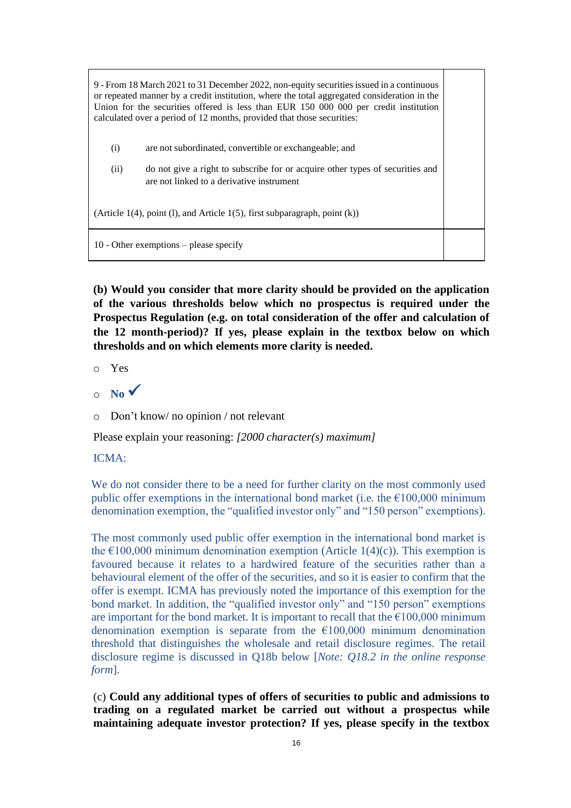| 9 - From 18 March 2021 to 31 December 2022, non-equity securities issued in a continuous<br>or repeated manner by a credit institution, where the total aggregated consideration in the<br>Union for the securities offered is less than EUR 150 000 000 per credit institution<br>calculated over a period of 12 months, provided that those securities: |                                                                                                                            |  |  |  |
|-----------------------------------------------------------------------------------------------------------------------------------------------------------------------------------------------------------------------------------------------------------------------------------------------------------------------------------------------------------|----------------------------------------------------------------------------------------------------------------------------|--|--|--|
| (i)                                                                                                                                                                                                                                                                                                                                                       | are not subordinated, convertible or exchangeable; and                                                                     |  |  |  |
| (ii)                                                                                                                                                                                                                                                                                                                                                      | do not give a right to subscribe for or acquire other types of securities and<br>are not linked to a derivative instrument |  |  |  |
| (Article 1(4), point (1), and Article 1(5), first subparagraph, point $(k)$ )                                                                                                                                                                                                                                                                             |                                                                                                                            |  |  |  |
| 10 - Other exemptions $-$ please specify                                                                                                                                                                                                                                                                                                                  |                                                                                                                            |  |  |  |

**(b) Would you consider that more clarity should be provided on the application of the various thresholds below which no prospectus is required under the Prospectus Regulation (e.g. on total consideration of the offer and calculation of the 12 month-period)? If yes, please explain in the textbox below on which thresholds and on which elements more clarity is needed.**

o Yes

 $\circ$  **No**  $\checkmark$ 

o Don't know/ no opinion / not relevant

Please explain your reasoning: *[2000 character(s) maximum]*

ICMA:

We do not consider there to be a need for further clarity on the most commonly used public offer exemptions in the international bond market (i.e. the  $\epsilon$ 100,000 minimum denomination exemption, the "qualified investor only" and "150 person" exemptions).

The most commonly used public offer exemption in the international bond market is the  $\epsilon$ 100,000 minimum denomination exemption (Article 1(4)(c)). This exemption is favoured because it relates to a hardwired feature of the securities rather than a behavioural element of the offer of the securities, and so it is easier to confirm that the offer is exempt. ICMA has previously noted the importance of this exemption for the bond market. In addition, the "qualified investor only" and "150 person" exemptions are important for the bond market. It is important to recall that the  $\epsilon$ 100,000 minimum denomination exemption is separate from the  $\epsilon$ 100,000 minimum denomination threshold that distinguishes the wholesale and retail disclosure regimes. The retail disclosure regime is discussed in Q18b below [*Note: Q18.2 in the online response form*].

(c) **Could any additional types of offers of securities to public and admissions to trading on a regulated market be carried out without a prospectus while maintaining adequate investor protection? If yes, please specify in the textbox**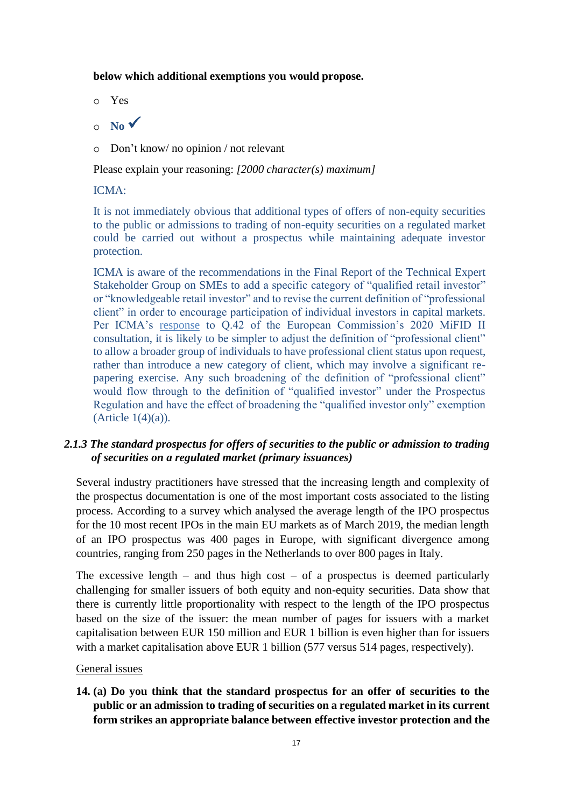### **below which additional exemptions you would propose.**

- o Yes
- $\circ$  **No**  $\checkmark$
- o Don't know/ no opinion / not relevant

Please explain your reasoning: *[2000 character(s) maximum]*

### ICMA:

It is not immediately obvious that additional types of offers of non-equity securities to the public or admissions to trading of non-equity securities on a regulated market could be carried out without a prospectus while maintaining adequate investor protection.

ICMA is aware of the recommendations in the Final Report of the Technical Expert Stakeholder Group on SMEs to add a specific category of "qualified retail investor" or "knowledgeable retail investor" and to revise the current definition of "professional client" in order to encourage participation of individual investors in capital markets. Per ICMA's [response](https://www.icmagroup.org/assets/documents/Regulatory/MiFID-Review/MiFID-review-CP-ICMA-response-2020-05-15-180520.pdf) to Q.42 of the European Commission's 2020 MiFID II consultation, it is likely to be simpler to adjust the definition of "professional client" to allow a broader group of individuals to have professional client status upon request, rather than introduce a new category of client, which may involve a significant repapering exercise. Any such broadening of the definition of "professional client" would flow through to the definition of "qualified investor" under the Prospectus Regulation and have the effect of broadening the "qualified investor only" exemption  $(A<sup>rt</sup>icle 1(4)(a)).$ 

# *2.1.3 The standard prospectus for offers of securities to the public or admission to trading of securities on a regulated market (primary issuances)*

Several industry practitioners have stressed that the increasing length and complexity of the prospectus documentation is one of the most important costs associated to the listing process. According to a survey which analysed the average length of the IPO prospectus for the 10 most recent IPOs in the main EU markets as of March 2019, the median length of an IPO prospectus was 400 pages in Europe, with significant divergence among countries, ranging from 250 pages in the Netherlands to over 800 pages in Italy.

The excessive length – and thus high cost – of a prospectus is deemed particularly challenging for smaller issuers of both equity and non-equity securities. Data show that there is currently little proportionality with respect to the length of the IPO prospectus based on the size of the issuer: the mean number of pages for issuers with a market capitalisation between EUR 150 million and EUR 1 billion is even higher than for issuers with a market capitalisation above EUR 1 billion (577 versus 514 pages, respectively).

### General issues

**14. (a) Do you think that the standard prospectus for an offer of securities to the public or an admission to trading of securities on a regulated market in its current form strikes an appropriate balance between effective investor protection and the**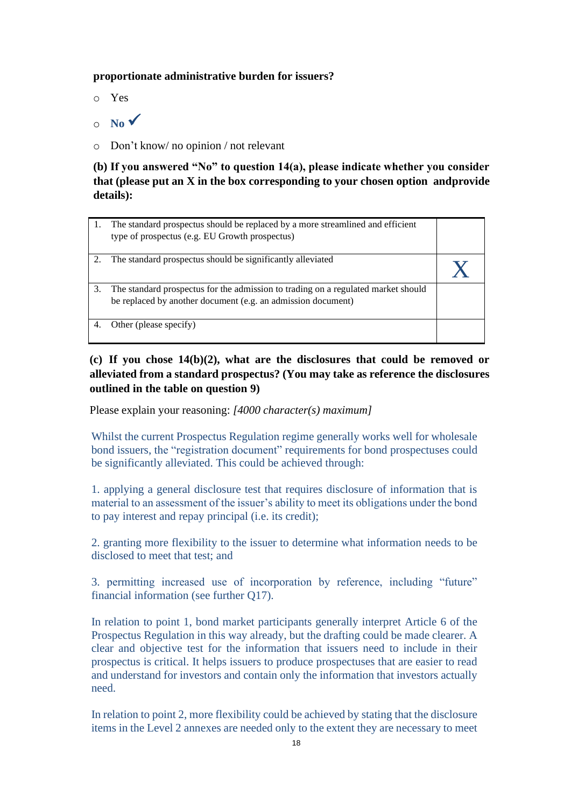### **proportionate administrative burden for issuers?**

o Yes

 $\circ$  **No**  $\checkmark$ 

o Don't know/ no opinion / not relevant

**(b) If you answered "No" to question 14(a), please indicate whether you consider that (please put an X in the box corresponding to your chosen option andprovide details):**

| 1. | The standard prospectus should be replaced by a more streamlined and efficient<br>type of prospectus (e.g. EU Growth prospectus)                  |  |
|----|---------------------------------------------------------------------------------------------------------------------------------------------------|--|
| 2. | The standard prospectus should be significantly alleviated                                                                                        |  |
| 3. | The standard prospectus for the admission to trading on a regulated market should<br>be replaced by another document (e.g. an admission document) |  |
|    | Other (please specify)                                                                                                                            |  |

# **(c) If you chose 14(b)(2), what are the disclosures that could be removed or alleviated from a standard prospectus? (You may take as reference the disclosures outlined in the table on question 9)**

Please explain your reasoning: *[4000 character(s) maximum]*

Whilst the current Prospectus Regulation regime generally works well for wholesale bond issuers, the "registration document" requirements for bond prospectuses could be significantly alleviated. This could be achieved through:

1. applying a general disclosure test that requires disclosure of information that is material to an assessment of the issuer's ability to meet its obligations under the bond to pay interest and repay principal (i.e. its credit);

2. granting more flexibility to the issuer to determine what information needs to be disclosed to meet that test; and

3. permitting increased use of incorporation by reference, including "future" financial information (see further Q17).

In relation to point 1, bond market participants generally interpret Article 6 of the Prospectus Regulation in this way already, but the drafting could be made clearer. A clear and objective test for the information that issuers need to include in their prospectus is critical. It helps issuers to produce prospectuses that are easier to read and understand for investors and contain only the information that investors actually need.

In relation to point 2, more flexibility could be achieved by stating that the disclosure items in the Level 2 annexes are needed only to the extent they are necessary to meet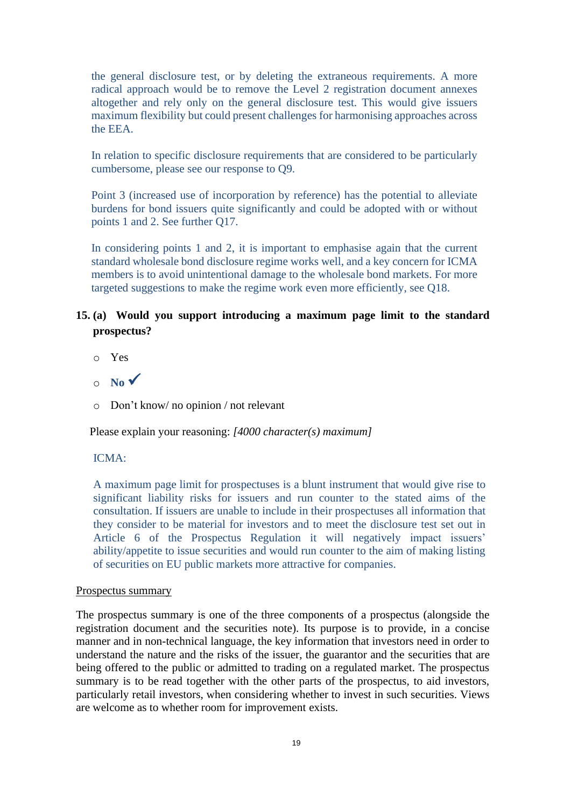the general disclosure test, or by deleting the extraneous requirements. A more radical approach would be to remove the Level 2 registration document annexes altogether and rely only on the general disclosure test. This would give issuers maximum flexibility but could present challenges for harmonising approaches across the EEA.

In relation to specific disclosure requirements that are considered to be particularly cumbersome, please see our response to Q9.

Point 3 (increased use of incorporation by reference) has the potential to alleviate burdens for bond issuers quite significantly and could be adopted with or without points 1 and 2. See further Q17.

In considering points 1 and 2, it is important to emphasise again that the current standard wholesale bond disclosure regime works well, and a key concern for ICMA members is to avoid unintentional damage to the wholesale bond markets. For more targeted suggestions to make the regime work even more efficiently, see Q18.

# **15. (a) Would you support introducing a maximum page limit to the standard prospectus?**

- o Yes
- $\circ$  **No**  $\checkmark$
- o Don't know/ no opinion / not relevant

Please explain your reasoning: *[4000 character(s) maximum]*

### ICMA:

A maximum page limit for prospectuses is a blunt instrument that would give rise to significant liability risks for issuers and run counter to the stated aims of the consultation. If issuers are unable to include in their prospectuses all information that they consider to be material for investors and to meet the disclosure test set out in Article 6 of the Prospectus Regulation it will negatively impact issuers' ability/appetite to issue securities and would run counter to the aim of making listing of securities on EU public markets more attractive for companies.

#### Prospectus summary

The prospectus summary is one of the three components of a prospectus (alongside the registration document and the securities note). Its purpose is to provide, in a concise manner and in non-technical language, the key information that investors need in order to understand the nature and the risks of the issuer, the guarantor and the securities that are being offered to the public or admitted to trading on a regulated market. The prospectus summary is to be read together with the other parts of the prospectus, to aid investors, particularly retail investors, when considering whether to invest in such securities. Views are welcome as to whether room for improvement exists.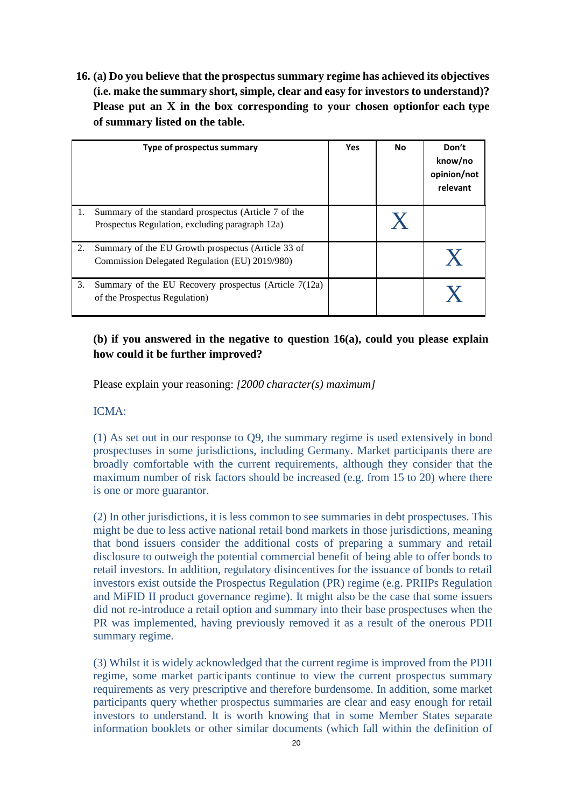**16. (a) Do you believe that the prospectus summary regime has achieved its objectives (i.e. make the summary short, simple, clear and easy for investors to understand)? Please put an X in the box corresponding to your chosen optionfor each type of summary listed on the table.**

|    | Type of prospectus summary                                                                              | Yes | No | Don't<br>know/no<br>opinion/not<br>relevant |
|----|---------------------------------------------------------------------------------------------------------|-----|----|---------------------------------------------|
| 1. | Summary of the standard prospectus (Article 7 of the<br>Prospectus Regulation, excluding paragraph 12a) |     |    |                                             |
| 2. | Summary of the EU Growth prospectus (Article 33 of<br>Commission Delegated Regulation (EU) 2019/980)    |     |    |                                             |
| 3. | Summary of the EU Recovery prospectus (Article 7(12a)<br>of the Prospectus Regulation)                  |     |    |                                             |

# **(b) if you answered in the negative to question 16(a), could you please explain how could it be further improved?**

Please explain your reasoning: *[2000 character(s) maximum]*

### ICMA:

(1) As set out in our response to Q9, the summary regime is used extensively in bond prospectuses in some jurisdictions, including Germany. Market participants there are broadly comfortable with the current requirements, although they consider that the maximum number of risk factors should be increased (e.g. from 15 to 20) where there is one or more guarantor.

(2) In other jurisdictions, it is less common to see summaries in debt prospectuses. This might be due to less active national retail bond markets in those jurisdictions, meaning that bond issuers consider the additional costs of preparing a summary and retail disclosure to outweigh the potential commercial benefit of being able to offer bonds to retail investors. In addition, regulatory disincentives for the issuance of bonds to retail investors exist outside the Prospectus Regulation (PR) regime (e.g. PRIIPs Regulation and MiFID II product governance regime). It might also be the case that some issuers did not re-introduce a retail option and summary into their base prospectuses when the PR was implemented, having previously removed it as a result of the onerous PDII summary regime.

(3) Whilst it is widely acknowledged that the current regime is improved from the PDII regime, some market participants continue to view the current prospectus summary requirements as very prescriptive and therefore burdensome. In addition, some market participants query whether prospectus summaries are clear and easy enough for retail investors to understand. It is worth knowing that in some Member States separate information booklets or other similar documents (which fall within the definition of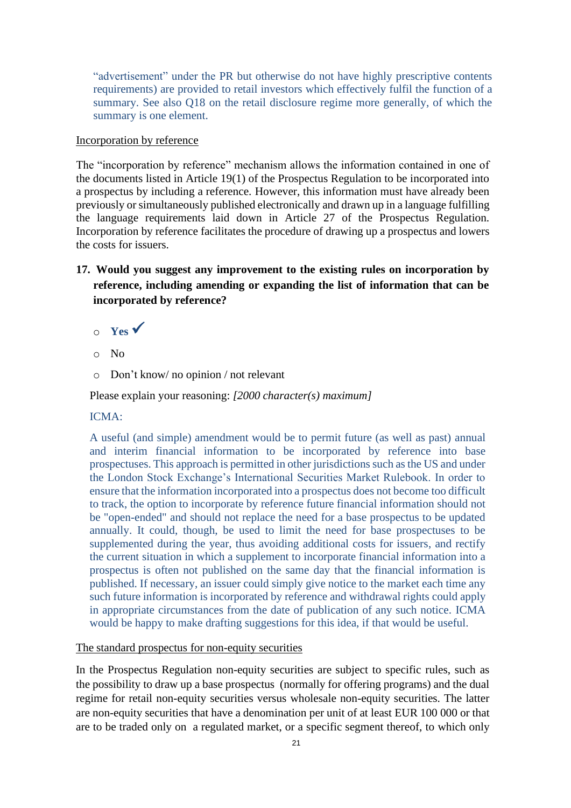"advertisement" under the PR but otherwise do not have highly prescriptive contents requirements) are provided to retail investors which effectively fulfil the function of a summary. See also Q18 on the retail disclosure regime more generally, of which the summary is one element.

#### Incorporation by reference

The "incorporation by reference" mechanism allows the information contained in one of the documents listed in Article 19(1) of the Prospectus Regulation to be incorporated into a prospectus by including a reference. However, this information must have already been previously or simultaneously published electronically and drawn up in a language fulfilling the language requirements laid down in Article 27 of the Prospectus Regulation. Incorporation by reference facilitates the procedure of drawing up a prospectus and lowers the costs for issuers.

# **17. Would you suggest any improvement to the existing rules on incorporation by reference, including amending or expanding the list of information that can be incorporated by reference?**

- <sup>o</sup> **Yes** ✓
- o No
- o Don't know/ no opinion / not relevant

Please explain your reasoning: *[2000 character(s) maximum]*

### ICMA:

A useful (and simple) amendment would be to permit future (as well as past) annual and interim financial information to be incorporated by reference into base prospectuses. This approach is permitted in other jurisdictions such as the US and under the London Stock Exchange's International Securities Market Rulebook. In order to ensure that the information incorporated into a prospectus does not become too difficult to track, the option to incorporate by reference future financial information should not be "open-ended" and should not replace the need for a base prospectus to be updated annually. It could, though, be used to limit the need for base prospectuses to be supplemented during the year, thus avoiding additional costs for issuers, and rectify the current situation in which a supplement to incorporate financial information into a prospectus is often not published on the same day that the financial information is published. If necessary, an issuer could simply give notice to the market each time any such future information is incorporated by reference and withdrawal rights could apply in appropriate circumstances from the date of publication of any such notice. ICMA would be happy to make drafting suggestions for this idea, if that would be useful.

### The standard prospectus for non-equity securities

In the Prospectus Regulation non-equity securities are subject to specific rules, such as the possibility to draw up a base prospectus (normally for offering programs) and the dual regime for retail non-equity securities versus wholesale non-equity securities. The latter are non-equity securities that have a denomination per unit of at least EUR 100 000 or that are to be traded only on a regulated market, or a specific segment thereof, to which only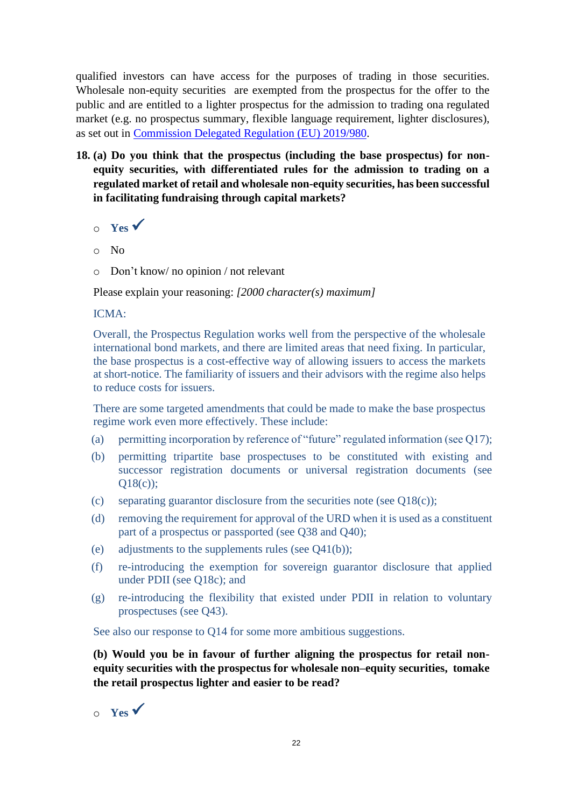qualified investors can have access for the purposes of trading in those securities. Wholesale non-equity securities are exempted from the prospectus for the offer to the public and are entitled to a lighter prospectus for the admission to trading ona regulated market (e.g. no prospectus summary, flexible language requirement, lighter disclosures), as set out in [Commission Delegated Regulation \(EU\)](https://eur-lex.europa.eu/legal-content/EN/TXT/?uri=CELEX%3A32019R0980) 2019/980.

- **18. (a) Do you think that the prospectus (including the base prospectus) for nonequity securities, with differentiated rules for the admission to trading on a regulated market of retail and wholesale non-equity securities, has been successful in facilitating fundraising through capital markets?**
	- <sup>o</sup> **Yes** ✓
	- o No
	- o Don't know/ no opinion / not relevant

Please explain your reasoning: *[2000 character(s) maximum]*

### ICMA:

Overall, the Prospectus Regulation works well from the perspective of the wholesale international bond markets, and there are limited areas that need fixing. In particular, the base prospectus is a cost-effective way of allowing issuers to access the markets at short-notice. The familiarity of issuers and their advisors with the regime also helps to reduce costs for issuers.

There are some targeted amendments that could be made to make the base prospectus regime work even more effectively. These include:

- (a) permitting incorporation by reference of "future" regulated information (see Q17);
- (b) permitting tripartite base prospectuses to be constituted with existing and successor registration documents or universal registration documents (see Q18(c));
- (c) separating guarantor disclosure from the securities note (see  $O(18(c))$ ;
- (d) removing the requirement for approval of the URD when it is used as a constituent part of a prospectus or passported (see Q38 and Q40);
- (e) adjustments to the supplements rules (see  $Q(41(b))$ ;
- (f) re-introducing the exemption for sovereign guarantor disclosure that applied under PDII (see Q18c); and
- (g) re-introducing the flexibility that existed under PDII in relation to voluntary prospectuses (see Q43).

See also our response to Q14 for some more ambitious suggestions.

**(b) Would you be in favour of further aligning the prospectus for retail nonequity securities with the prospectus for wholesale non–equity securities, tomake the retail prospectus lighter and easier to be read?**

<sup>o</sup> **Yes** ✓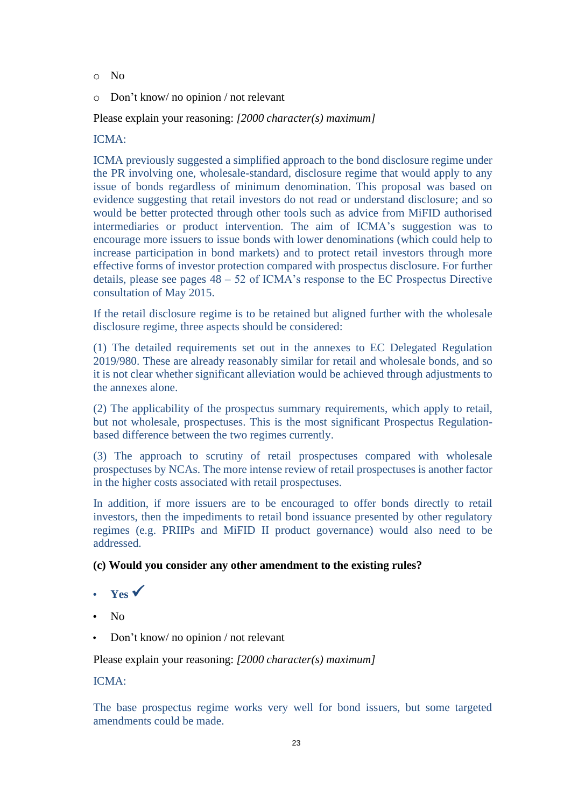- o No
- o Don't know/ no opinion / not relevant

Please explain your reasoning: *[2000 character(s) maximum]*

ICMA:

ICMA previously suggested a simplified approach to the bond disclosure regime under the PR involving one, wholesale-standard, disclosure regime that would apply to any issue of bonds regardless of minimum denomination. This proposal was based on evidence suggesting that retail investors do not read or understand disclosure; and so would be better protected through other tools such as advice from MiFID authorised intermediaries or product intervention. The aim of ICMA's suggestion was to encourage more issuers to issue bonds with lower denominations (which could help to increase participation in bond markets) and to protect retail investors through more effective forms of investor protection compared with prospectus disclosure. For further details, please see pages 48 – 52 of ICMA's response to the EC Prospectus Directive consultation of May 2015.

If the retail disclosure regime is to be retained but aligned further with the wholesale disclosure regime, three aspects should be considered:

(1) The detailed requirements set out in the annexes to EC Delegated Regulation 2019/980. These are already reasonably similar for retail and wholesale bonds, and so it is not clear whether significant alleviation would be achieved through adjustments to the annexes alone.

(2) The applicability of the prospectus summary requirements, which apply to retail, but not wholesale, prospectuses. This is the most significant Prospectus Regulationbased difference between the two regimes currently.

(3) The approach to scrutiny of retail prospectuses compared with wholesale prospectuses by NCAs. The more intense review of retail prospectuses is another factor in the higher costs associated with retail prospectuses.

In addition, if more issuers are to be encouraged to offer bonds directly to retail investors, then the impediments to retail bond issuance presented by other regulatory regimes (e.g. PRIIPs and MiFID II product governance) would also need to be addressed.

# **(c) Would you consider any other amendment to the existing rules?**

- **Yes** ✓
- No
- Don't know/ no opinion / not relevant

Please explain your reasoning: *[2000 character(s) maximum]*

# ICMA:

The base prospectus regime works very well for bond issuers, but some targeted amendments could be made.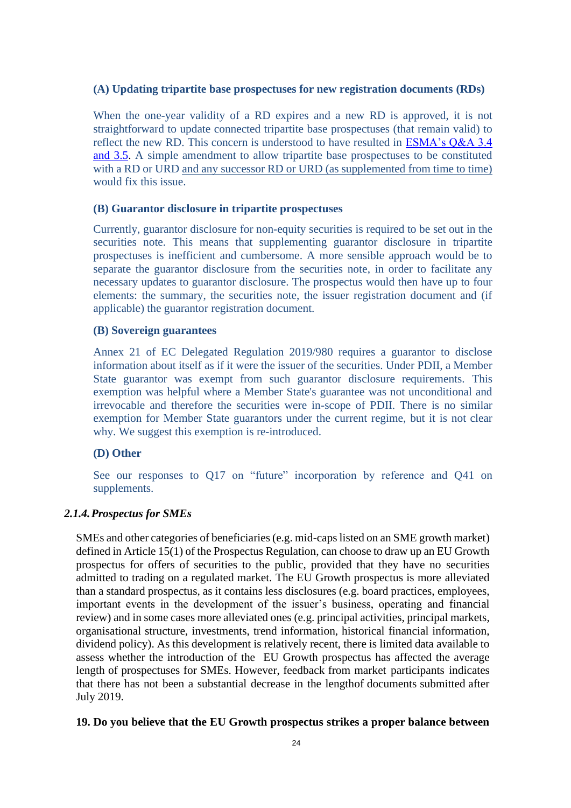### **(A) Updating tripartite base prospectuses for new registration documents (RDs)**

When the one-year validity of a RD expires and a new RD is approved, it is not straightforward to update connected tripartite base prospectuses (that remain valid) to reflect the new RD. This concern is understood to have resulted in [ESMA's Q&A 3.4](https://www.esma.europa.eu/sites/default/files/library/esma31-62-1258_prospectus_regulation_qas.pdf)  [and 3.5.](https://www.esma.europa.eu/sites/default/files/library/esma31-62-1258_prospectus_regulation_qas.pdf) A simple amendment to allow tripartite base prospectuses to be constituted with a RD or URD and any successor RD or URD (as supplemented from time to time) would fix this issue.

#### **(B) Guarantor disclosure in tripartite prospectuses**

Currently, guarantor disclosure for non-equity securities is required to be set out in the securities note. This means that supplementing guarantor disclosure in tripartite prospectuses is inefficient and cumbersome. A more sensible approach would be to separate the guarantor disclosure from the securities note, in order to facilitate any necessary updates to guarantor disclosure. The prospectus would then have up to four elements: the summary, the securities note, the issuer registration document and (if applicable) the guarantor registration document.

#### **(B) Sovereign guarantees**

Annex 21 of EC Delegated Regulation 2019/980 requires a guarantor to disclose information about itself as if it were the issuer of the securities. Under PDII, a Member State guarantor was exempt from such guarantor disclosure requirements. This exemption was helpful where a Member State's guarantee was not unconditional and irrevocable and therefore the securities were in-scope of PDII. There is no similar exemption for Member State guarantors under the current regime, but it is not clear why. We suggest this exemption is re-introduced.

### **(D) Other**

See our responses to Q17 on "future" incorporation by reference and Q41 on supplements.

### *2.1.4.Prospectus for SMEs*

SMEs and other categories of beneficiaries (e.g. mid-caps listed on an SME growth market) defined in Article 15(1) of the Prospectus Regulation, can choose to draw up an EU Growth prospectus for offers of securities to the public, provided that they have no securities admitted to trading on a regulated market. The EU Growth prospectus is more alleviated than a standard prospectus, as it contains less disclosures (e.g. board practices, employees, important events in the development of the issuer's business, operating and financial review) and in some cases more alleviated ones (e.g. principal activities, principal markets, organisational structure, investments, trend information, historical financial information, dividend policy). As this development is relatively recent, there is limited data available to assess whether the introduction of the EU Growth prospectus has affected the average length of prospectuses for SMEs. However, feedback from market participants indicates that there has not been a substantial decrease in the lengthof documents submitted after July 2019.

#### **19. Do you believe that the EU Growth prospectus strikes a proper balance between**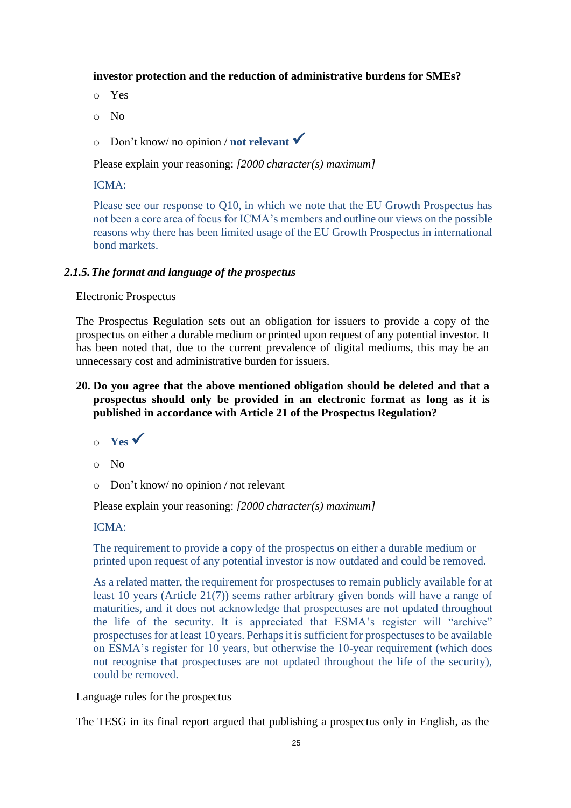#### **investor protection and the reduction of administrative burdens for SMEs?**

- o Yes
- o No
- <sup>o</sup> Don't know/ no opinion / **not relevant** ✓

Please explain your reasoning: *[2000 character(s) maximum]*

# ICMA:

Please see our response to Q10, in which we note that the EU Growth Prospectus has not been a core area of focus for ICMA's members and outline our views on the possible reasons why there has been limited usage of the EU Growth Prospectus in international bond markets.

### *2.1.5.The format and language of the prospectus*

#### Electronic Prospectus

The Prospectus Regulation sets out an obligation for issuers to provide a copy of the prospectus on either a durable medium or printed upon request of any potential investor. It has been noted that, due to the current prevalence of digital mediums, this may be an unnecessary cost and administrative burden for issuers.

# **20. Do you agree that the above mentioned obligation should be deleted and that a prospectus should only be provided in an electronic format as long as it is published in accordance with Article 21 of the Prospectus Regulation?**

- $\circ$  **Yes**  $\checkmark$
- o No
- o Don't know/ no opinion / not relevant

Please explain your reasoning: *[2000 character(s) maximum]*

### ICMA:

The requirement to provide a copy of the prospectus on either a durable medium or printed upon request of any potential investor is now outdated and could be removed.

As a related matter, the requirement for prospectuses to remain publicly available for at least 10 years (Article 21(7)) seems rather arbitrary given bonds will have a range of maturities, and it does not acknowledge that prospectuses are not updated throughout the life of the security. It is appreciated that ESMA's register will "archive" prospectuses for at least 10 years. Perhaps it is sufficient for prospectuses to be available on ESMA's register for 10 years, but otherwise the 10-year requirement (which does not recognise that prospectuses are not updated throughout the life of the security), could be removed.

Language rules for the prospectus

The TESG in its final report argued that publishing a prospectus only in English, as the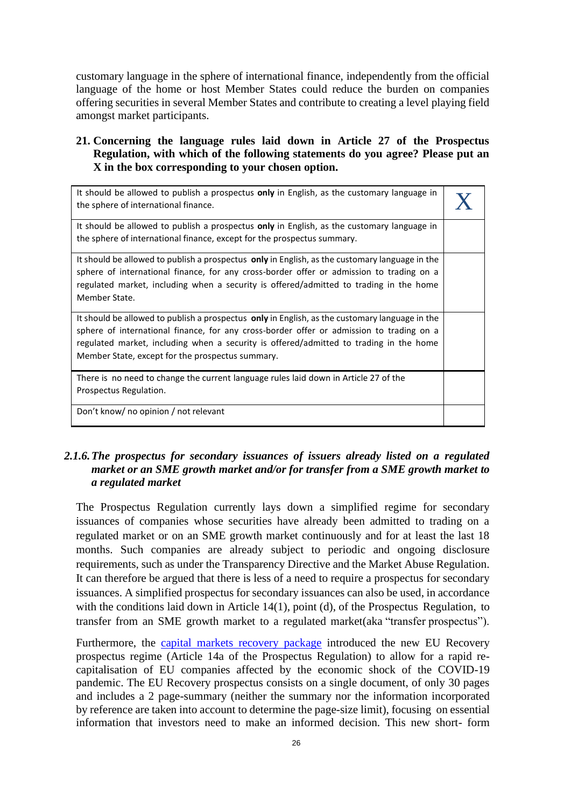customary language in the sphere of international finance, independently from the official language of the home or host Member States could reduce the burden on companies offering securities in several Member States and contribute to creating a level playing field amongst market participants.

# **21. Concerning the language rules laid down in Article 27 of the Prospectus Regulation, with which of the following statements do you agree? Please put an X in the box corresponding to your chosen option.**

| It should be allowed to publish a prospectus only in English, as the customary language in<br>the sphere of international finance.                                                                                                                                                                                                       |  |
|------------------------------------------------------------------------------------------------------------------------------------------------------------------------------------------------------------------------------------------------------------------------------------------------------------------------------------------|--|
| It should be allowed to publish a prospectus <b>only</b> in English, as the customary language in<br>the sphere of international finance, except for the prospectus summary.                                                                                                                                                             |  |
| It should be allowed to publish a prospectus only in English, as the customary language in the<br>sphere of international finance, for any cross-border offer or admission to trading on a<br>regulated market, including when a security is offered/admitted to trading in the home<br>Member State.                                    |  |
| It should be allowed to publish a prospectus only in English, as the customary language in the<br>sphere of international finance, for any cross-border offer or admission to trading on a<br>regulated market, including when a security is offered/admitted to trading in the home<br>Member State, except for the prospectus summary. |  |
| There is no need to change the current language rules laid down in Article 27 of the<br>Prospectus Regulation.                                                                                                                                                                                                                           |  |
| Don't know/ no opinion / not relevant                                                                                                                                                                                                                                                                                                    |  |

# *2.1.6.The prospectus for secondary issuances of issuers already listed on a regulated market or an SME growth market and/or for transfer from a SME growth market to a regulated market*

The Prospectus Regulation currently lays down a simplified regime for secondary issuances of companies whose securities have already been admitted to trading on a regulated market or on an SME growth market continuously and for at least the last 18 months. Such companies are already subject to periodic and ongoing disclosure requirements, such as under the Transparency Directive and the Market Abuse Regulation. It can therefore be argued that there is less of a need to require a prospectus for secondary issuances. A simplified prospectus for secondary issuances can also be used, in accordance with the conditions laid down in Article 14(1), point (d), of the Prospectus Regulation, to transfer from an SME growth market to a regulated market(aka "transfer prospectus").

Furthermore, the [capital markets recovery package](https://ec.europa.eu/info/publications/200722-proposal-capital-markets-recovery_en) introduced the new EU Recovery prospectus regime (Article 14a of the Prospectus Regulation) to allow for a rapid recapitalisation of EU companies affected by the economic shock of the COVID-19 pandemic. The EU Recovery prospectus consists on a single document, of only 30 pages and includes a 2 page-summary (neither the summary nor the information incorporated by reference are taken into account to determine the page-size limit), focusing on essential information that investors need to make an informed decision. This new short- form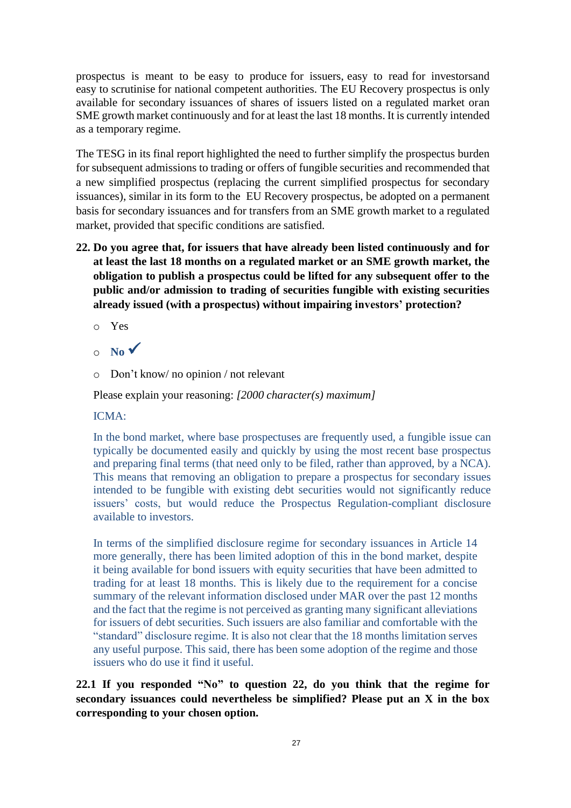prospectus is meant to be easy to produce for issuers, easy to read for investorsand easy to scrutinise for national competent authorities. The EU Recovery prospectus is only available for secondary issuances of shares of issuers listed on a regulated market oran SME growth market continuously and for at least the last 18 months. It is currently intended as a temporary regime.

The TESG in its final report highlighted the need to further simplify the prospectus burden for subsequent admissions to trading or offers of fungible securities and recommended that a new simplified prospectus (replacing the current simplified prospectus for secondary issuances), similar in its form to the EU Recovery prospectus, be adopted on a permanent basis for secondary issuances and for transfers from an SME growth market to a regulated market, provided that specific conditions are satisfied.

- **22. Do you agree that, for issuers that have already been listed continuously and for at least the last 18 months on a regulated market or an SME growth market, the obligation to publish a prospectus could be lifted for any subsequent offer to the public and/or admission to trading of securities fungible with existing securities already issued (with a prospectus) without impairing investors' protection?**
	- o Yes
	- $\circ$  **No**  $\checkmark$
	- o Don't know/ no opinion / not relevant

Please explain your reasoning: *[2000 character(s) maximum]*

# ICMA:

In the bond market, where base prospectuses are frequently used, a fungible issue can typically be documented easily and quickly by using the most recent base prospectus and preparing final terms (that need only to be filed, rather than approved, by a NCA). This means that removing an obligation to prepare a prospectus for secondary issues intended to be fungible with existing debt securities would not significantly reduce issuers' costs, but would reduce the Prospectus Regulation-compliant disclosure available to investors.

In terms of the simplified disclosure regime for secondary issuances in Article 14 more generally, there has been limited adoption of this in the bond market, despite it being available for bond issuers with equity securities that have been admitted to trading for at least 18 months. This is likely due to the requirement for a concise summary of the relevant information disclosed under MAR over the past 12 months and the fact that the regime is not perceived as granting many significant alleviations for issuers of debt securities. Such issuers are also familiar and comfortable with the "standard" disclosure regime. It is also not clear that the 18 months limitation serves any useful purpose. This said, there has been some adoption of the regime and those issuers who do use it find it useful.

# **22.1 If you responded "No" to question 22, do you think that the regime for secondary issuances could nevertheless be simplified? Please put an X in the box corresponding to your chosen option.**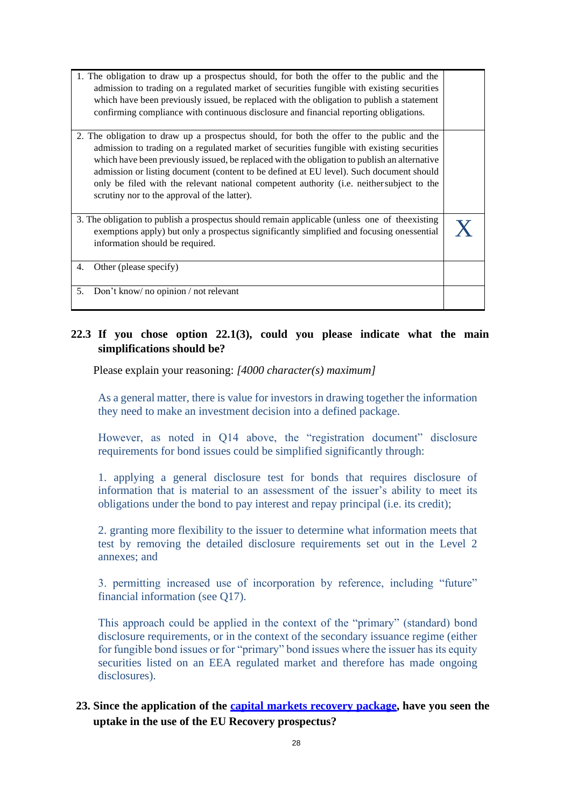| 1. The obligation to draw up a prospectus should, for both the offer to the public and the<br>admission to trading on a regulated market of securities fungible with existing securities<br>which have been previously issued, be replaced with the obligation to publish a statement<br>confirming compliance with continuous disclosure and financial reporting obligations.                                                                                                                                                   |  |
|----------------------------------------------------------------------------------------------------------------------------------------------------------------------------------------------------------------------------------------------------------------------------------------------------------------------------------------------------------------------------------------------------------------------------------------------------------------------------------------------------------------------------------|--|
| 2. The obligation to draw up a prospectus should, for both the offer to the public and the<br>admission to trading on a regulated market of securities fungible with existing securities<br>which have been previously issued, be replaced with the obligation to publish an alternative<br>admission or listing document (content to be defined at EU level). Such document should<br>only be filed with the relevant national competent authority (i.e. neither subject to the<br>scrutiny nor to the approval of the latter). |  |
| 3. The obligation to publish a prospectus should remain applicable (unless one of the existing<br>exemptions apply) but only a prospectus significantly simplified and focusing onessential<br>information should be required.                                                                                                                                                                                                                                                                                                   |  |
| Other (please specify)<br>4.                                                                                                                                                                                                                                                                                                                                                                                                                                                                                                     |  |
| Don't know/no opinion / not relevant<br>5.                                                                                                                                                                                                                                                                                                                                                                                                                                                                                       |  |

# **22.3 If you chose option 22.1(3), could you please indicate what the main simplifications should be?**

Please explain your reasoning: *[4000 character(s) maximum]*

As a general matter, there is value for investors in drawing together the information they need to make an investment decision into a defined package.

However, as noted in Q14 above, the "registration document" disclosure requirements for bond issues could be simplified significantly through:

1. applying a general disclosure test for bonds that requires disclosure of information that is material to an assessment of the issuer's ability to meet its obligations under the bond to pay interest and repay principal (i.e. its credit);

2. granting more flexibility to the issuer to determine what information meets that test by removing the detailed disclosure requirements set out in the Level 2 annexes; and

3. permitting increased use of incorporation by reference, including "future" financial information (see Q17).

This approach could be applied in the context of the "primary" (standard) bond disclosure requirements, or in the context of the secondary issuance regime (either for fungible bond issues or for "primary" bond issues where the issuer has its equity securities listed on an EEA regulated market and therefore has made ongoing disclosures).

# **23. Since the application of the capital markets recovery [package,](https://ec.europa.eu/info/publications/200722-proposal-capital-markets-recovery_en) have you seen the uptake in the use of the EU Recovery prospectus?**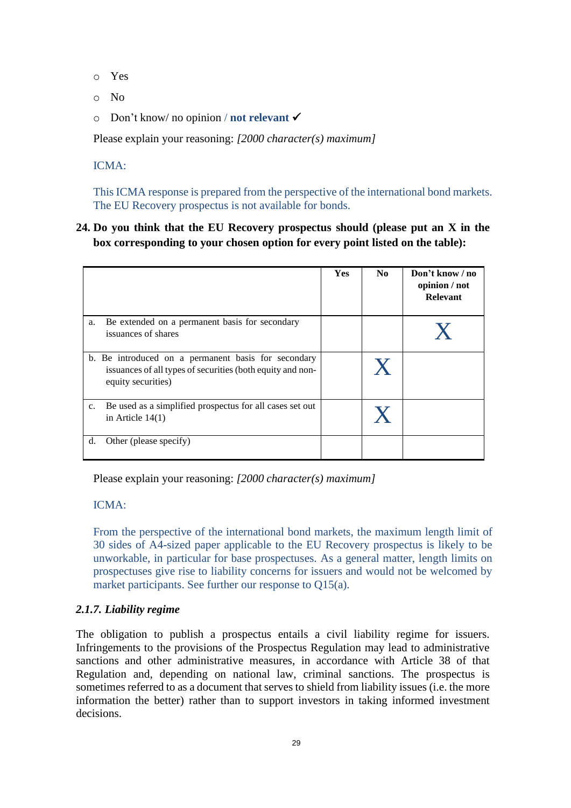- o Yes
- o No
- o Don't know/ no opinion / **not relevant** ✓

Please explain your reasoning: *[2000 character(s) maximum]*

ICMA:

This ICMA response is prepared from the perspective of the international bond markets. The EU Recovery prospectus is not available for bonds.

# **24. Do you think that the EU Recovery prospectus should (please put an X in the box corresponding to your chosen option for every point listed on the table):**

|                                                                                                                                         | <b>Yes</b> | N <sub>0</sub> | Don't know / no<br>opinion / not<br><b>Relevant</b> |
|-----------------------------------------------------------------------------------------------------------------------------------------|------------|----------------|-----------------------------------------------------|
| Be extended on a permanent basis for secondary<br>a.<br>issuances of shares                                                             |            |                |                                                     |
| b. Be introduced on a permanent basis for secondary<br>issuances of all types of securities (both equity and non-<br>equity securities) |            | $\mathbf{X}$   |                                                     |
| Be used as a simplified prospectus for all cases set out<br>$c_{\cdot}$<br>in Article $14(1)$                                           |            |                |                                                     |
| Other (please specify)<br>d.                                                                                                            |            |                |                                                     |

Please explain your reasoning: *[2000 character(s) maximum]*

ICMA:

From the perspective of the international bond markets, the maximum length limit of 30 sides of A4-sized paper applicable to the EU Recovery prospectus is likely to be unworkable, in particular for base prospectuses. As a general matter, length limits on prospectuses give rise to liability concerns for issuers and would not be welcomed by market participants. See further our response to Q15(a).

# *2.1.7. Liability regime*

The obligation to publish a prospectus entails a civil liability regime for issuers. Infringements to the provisions of the Prospectus Regulation may lead to administrative sanctions and other administrative measures, in accordance with Article 38 of that Regulation and, depending on national law, criminal sanctions. The prospectus is sometimes referred to as a document that serves to shield from liability issues (i.e. the more information the better) rather than to support investors in taking informed investment decisions.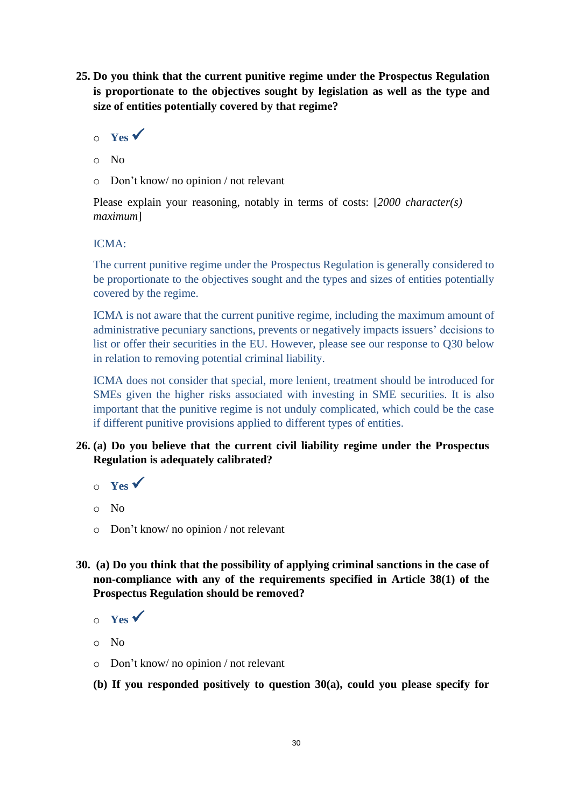**25. Do you think that the current punitive regime under the Prospectus Regulation is proportionate to the objectives sought by legislation as well as the type and size of entities potentially covered by that regime?**

```
o Yes ✓
```
- o No
- o Don't know/ no opinion / not relevant

Please explain your reasoning, notably in terms of costs: [*2000 character(s) maximum*]

# ICMA:

The current punitive regime under the Prospectus Regulation is generally considered to be proportionate to the objectives sought and the types and sizes of entities potentially covered by the regime.

ICMA is not aware that the current punitive regime, including the maximum amount of administrative pecuniary sanctions, prevents or negatively impacts issuers' decisions to list or offer their securities in the EU. However, please see our response to Q30 below in relation to removing potential criminal liability.

ICMA does not consider that special, more lenient, treatment should be introduced for SMEs given the higher risks associated with investing in SME securities. It is also important that the punitive regime is not unduly complicated, which could be the case if different punitive provisions applied to different types of entities.

- **26. (a) Do you believe that the current civil liability regime under the Prospectus Regulation is adequately calibrated?**
	- $\circ$  **Yes**  $\checkmark$
	- o No
	- o Don't know/ no opinion / not relevant
- **30. (a) Do you think that the possibility of applying criminal sanctions in the case of non-compliance with any of the requirements specified in Article 38(1) of the Prospectus Regulation should be removed?**
	- $\circ$  **Yes**  $\checkmark$
	- o No
	- o Don't know/ no opinion / not relevant
	- **(b) If you responded positively to question 30(a), could you please specify for**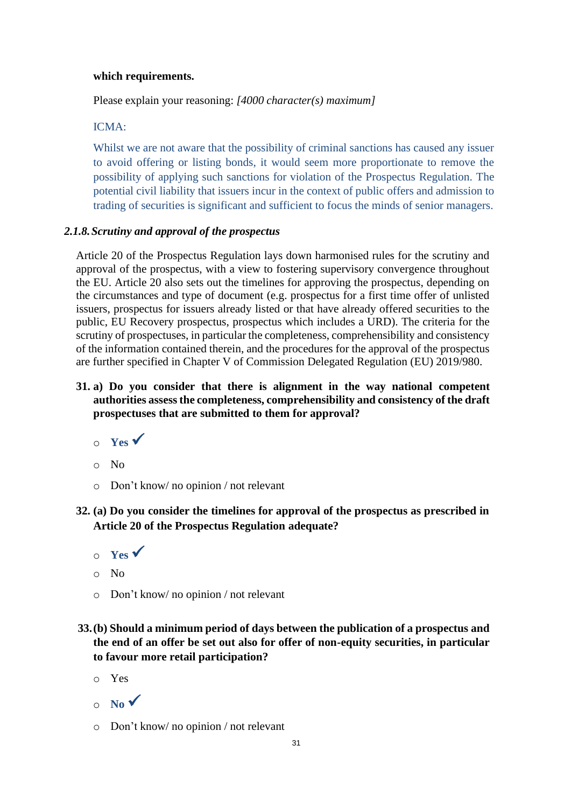### **which requirements.**

Please explain your reasoning: *[4000 character(s) maximum]*

### ICMA:

Whilst we are not aware that the possibility of criminal sanctions has caused any issuer to avoid offering or listing bonds, it would seem more proportionate to remove the possibility of applying such sanctions for violation of the Prospectus Regulation. The potential civil liability that issuers incur in the context of public offers and admission to trading of securities is significant and sufficient to focus the minds of senior managers.

### *2.1.8.Scrutiny and approval of the prospectus*

Article 20 of the Prospectus Regulation lays down harmonised rules for the scrutiny and approval of the prospectus, with a view to fostering supervisory convergence throughout the EU. Article 20 also sets out the timelines for approving the prospectus, depending on the circumstances and type of document (e.g. prospectus for a first time offer of unlisted issuers, prospectus for issuers already listed or that have already offered securities to the public, EU Recovery prospectus, prospectus which includes a URD). The criteria for the scrutiny of prospectuses, in particular the completeness, comprehensibility and consistency of the information contained therein, and the procedures for the approval of the prospectus are further specified in Chapter V of Commission Delegated Regulation (EU) 2019/980.

- **31. a) Do you consider that there is alignment in the way national competent authorities assess the completeness, comprehensibility and consistency of the draft prospectuses that are submitted to them for approval?**
	- $\circ$  **Yes**  $\checkmark$
	- o No
	- o Don't know/ no opinion / not relevant
- **32. (a) Do you consider the timelines for approval of the prospectus as prescribed in Article 20 of the Prospectus Regulation adequate?**
	- $\circ$  **Yes**  $\checkmark$
	- o No
	- o Don't know/ no opinion / not relevant
- **33.(b) Should a minimum period of days between the publication of a prospectus and the end of an offer be set out also for offer of non-equity securities, in particular to favour more retail participation?**
	- o Yes
	- $\circ$  **No**  $\checkmark$
	- o Don't know/ no opinion / not relevant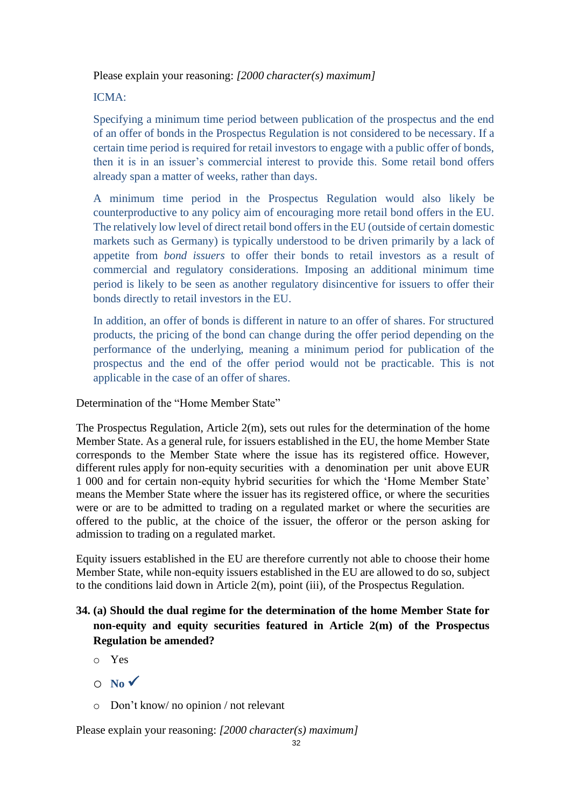Please explain your reasoning: *[2000 character(s) maximum]*

ICMA:

Specifying a minimum time period between publication of the prospectus and the end of an offer of bonds in the Prospectus Regulation is not considered to be necessary. If a certain time period is required for retail investors to engage with a public offer of bonds, then it is in an issuer's commercial interest to provide this. Some retail bond offers already span a matter of weeks, rather than days.

A minimum time period in the Prospectus Regulation would also likely be counterproductive to any policy aim of encouraging more retail bond offers in the EU. The relatively low level of direct retail bond offers in the EU (outside of certain domestic markets such as Germany) is typically understood to be driven primarily by a lack of appetite from *bond issuers* to offer their bonds to retail investors as a result of commercial and regulatory considerations. Imposing an additional minimum time period is likely to be seen as another regulatory disincentive for issuers to offer their bonds directly to retail investors in the EU.

In addition, an offer of bonds is different in nature to an offer of shares. For structured products, the pricing of the bond can change during the offer period depending on the performance of the underlying, meaning a minimum period for publication of the prospectus and the end of the offer period would not be practicable. This is not applicable in the case of an offer of shares.

Determination of the "Home Member State"

The Prospectus Regulation, Article  $2(m)$ , sets out rules for the determination of the home Member State. As a general rule, for issuers established in the EU, the home Member State corresponds to the Member State where the issue has its registered office. However, different rules apply for non-equity securities with a denomination per unit above EUR 1 000 and for certain non-equity hybrid securities for which the 'Home Member State' means the Member State where the issuer has its registered office, or where the securities were or are to be admitted to trading on a regulated market or where the securities are offered to the public, at the choice of the issuer, the offeror or the person asking for admission to trading on a regulated market.

Equity issuers established in the EU are therefore currently not able to choose their home Member State, while non-equity issuers established in the EU are allowed to do so, subject to the conditions laid down in Article 2(m), point (iii), of the Prospectus Regulation.

# **34. (a) Should the dual regime for the determination of the home Member State for non-equity and equity securities featured in Article 2(m) of the Prospectus Regulation be amended?**

- o Yes
- $O \cong N_0 \checkmark$
- o Don't know/ no opinion / not relevant

Please explain your reasoning: *[2000 character(s) maximum]*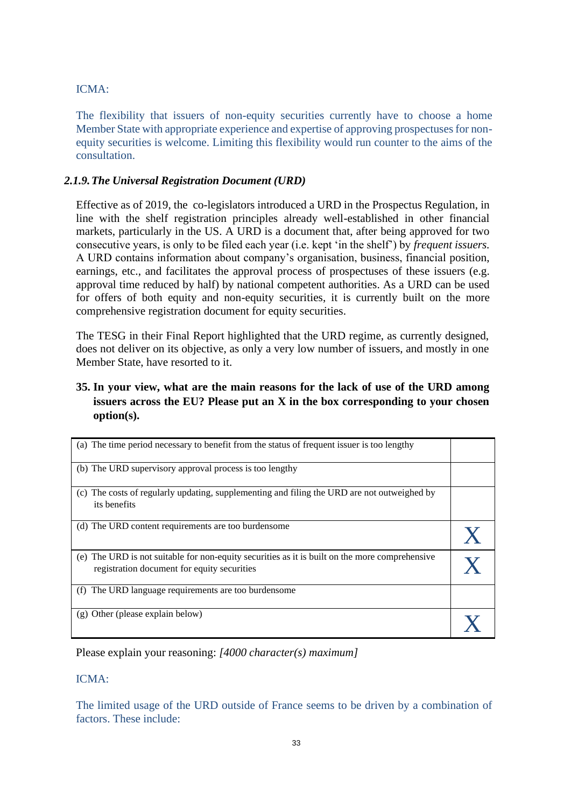# ICMA:

The flexibility that issuers of non-equity securities currently have to choose a home Member State with appropriate experience and expertise of approving prospectuses for nonequity securities is welcome. Limiting this flexibility would run counter to the aims of the consultation.

# *2.1.9.The Universal Registration Document (URD)*

Effective as of 2019, the co-legislators introduced a URD in the Prospectus Regulation, in line with the shelf registration principles already well-established in other financial markets, particularly in the US. A URD is a document that, after being approved for two consecutive years, is only to be filed each year (i.e. kept 'in the shelf') by *frequent issuers.*  A URD contains information about company's organisation, business, financial position, earnings, etc., and facilitates the approval process of prospectuses of these issuers (e.g. approval time reduced by half) by national competent authorities. As a URD can be used for offers of both equity and non-equity securities, it is currently built on the more comprehensive registration document for equity securities.

The TESG in their Final Report highlighted that the URD regime, as currently designed, does not deliver on its objective, as only a very low number of issuers, and mostly in one Member State, have resorted to it.

# **35. In your view, what are the main reasons for the lack of use of the URD among issuers across the EU? Please put an X in the box corresponding to your chosen option(s).**

| (a) The time period necessary to benefit from the status of frequent issuer is too lengthy                                                    |  |
|-----------------------------------------------------------------------------------------------------------------------------------------------|--|
| (b) The URD supervisory approval process is too lengthy                                                                                       |  |
| (c) The costs of regularly updating, supplementing and filing the URD are not outweighed by<br>its benefits                                   |  |
| (d) The URD content requirements are too burdensome                                                                                           |  |
| (e) The URD is not suitable for non-equity securities as it is built on the more comprehensive<br>registration document for equity securities |  |
| The URD language requirements are too burdensome<br>(f)                                                                                       |  |
| (g) Other (please explain below)                                                                                                              |  |

Please explain your reasoning: *[4000 character(s) maximum]*

# ICMA:

The limited usage of the URD outside of France seems to be driven by a combination of factors. These include: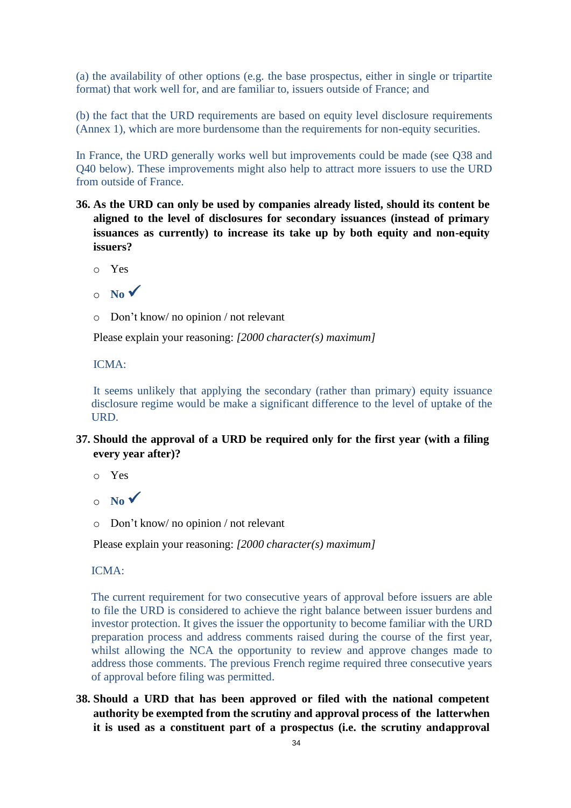(a) the availability of other options (e.g. the base prospectus, either in single or tripartite format) that work well for, and are familiar to, issuers outside of France; and

(b) the fact that the URD requirements are based on equity level disclosure requirements (Annex 1), which are more burdensome than the requirements for non-equity securities.

In France, the URD generally works well but improvements could be made (see Q38 and Q40 below). These improvements might also help to attract more issuers to use the URD from outside of France.

- **36. As the URD can only be used by companies already listed, should its content be aligned to the level of disclosures for secondary issuances (instead of primary issuances as currently) to increase its take up by both equity and non-equity issuers?**
	- o Yes
	- $\circ$  **No**  $\checkmark$
	- o Don't know/ no opinion / not relevant

Please explain your reasoning: *[2000 character(s) maximum]*

ICMA:

It seems unlikely that applying the secondary (rather than primary) equity issuance disclosure regime would be make a significant difference to the level of uptake of the URD.

- **37. Should the approval of a URD be required only for the first year (with a filing every year after)?**
	- o Yes
	- $\circ$  **No**  $\checkmark$
	- o Don't know/ no opinion / not relevant

Please explain your reasoning: *[2000 character(s) maximum]*

ICMA:

The current requirement for two consecutive years of approval before issuers are able to file the URD is considered to achieve the right balance between issuer burdens and investor protection. It gives the issuer the opportunity to become familiar with the URD preparation process and address comments raised during the course of the first year, whilst allowing the NCA the opportunity to review and approve changes made to address those comments. The previous French regime required three consecutive years of approval before filing was permitted.

**38. Should a URD that has been approved or filed with the national competent authority be exempted from the scrutiny and approval process of the latterwhen it is used as a constituent part of a prospectus (i.e. the scrutiny andapproval**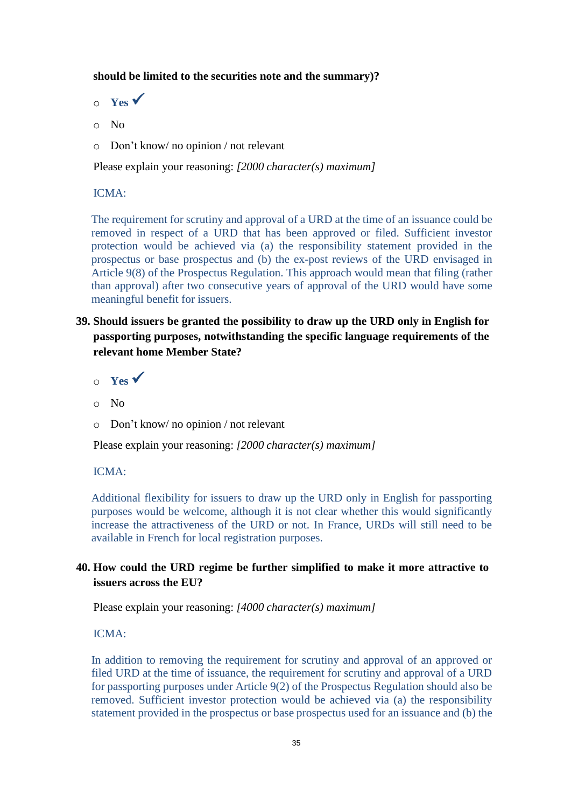### **should be limited to the securities note and the summary)?**

- $\circ$  **Yes**  $\checkmark$
- o No
- o Don't know/ no opinion / not relevant

Please explain your reasoning: *[2000 character(s) maximum]*

### ICMA:

The requirement for scrutiny and approval of a URD at the time of an issuance could be removed in respect of a URD that has been approved or filed. Sufficient investor protection would be achieved via (a) the responsibility statement provided in the prospectus or base prospectus and (b) the ex-post reviews of the URD envisaged in Article 9(8) of the Prospectus Regulation. This approach would mean that filing (rather than approval) after two consecutive years of approval of the URD would have some meaningful benefit for issuers.

- **39. Should issuers be granted the possibility to draw up the URD only in English for passporting purposes, notwithstanding the specific language requirements of the relevant home Member State?**
	- $\circ$  **Yes**  $\checkmark$
	- o No
	- o Don't know/ no opinion / not relevant

Please explain your reasoning: *[2000 character(s) maximum]*

### ICMA:

Additional flexibility for issuers to draw up the URD only in English for passporting purposes would be welcome, although it is not clear whether this would significantly increase the attractiveness of the URD or not. In France, URDs will still need to be available in French for local registration purposes.

# **40. How could the URD regime be further simplified to make it more attractive to issuers across the EU?**

Please explain your reasoning: *[4000 character(s) maximum]*

### ICMA:

In addition to removing the requirement for scrutiny and approval of an approved or filed URD at the time of issuance, the requirement for scrutiny and approval of a URD for passporting purposes under Article 9(2) of the Prospectus Regulation should also be removed. Sufficient investor protection would be achieved via (a) the responsibility statement provided in the prospectus or base prospectus used for an issuance and (b) the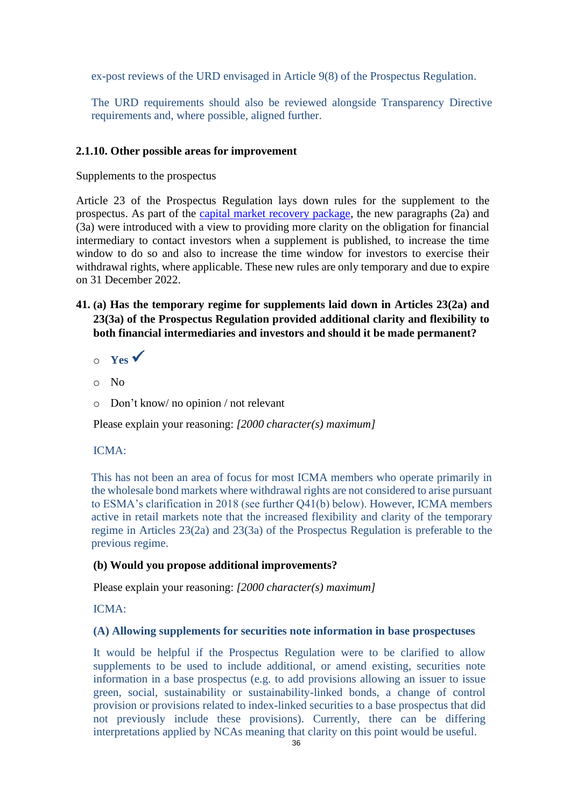ex-post reviews of the URD envisaged in Article 9(8) of the Prospectus Regulation.

The URD requirements should also be reviewed alongside Transparency Directive requirements and, where possible, aligned further.

### **2.1.10. Other possible areas for improvement**

Supplements to the prospectus

Article 23 of the Prospectus Regulation lays down rules for the supplement to the prospectus. As part of the [capital market recovery package, t](https://ec.europa.eu/info/publications/200722-proposal-capital-markets-recovery_en)he new paragraphs (2a) and (3a) were introduced with a view to providing more clarity on the obligation for financial intermediary to contact investors when a supplement is published, to increase the time window to do so and also to increase the time window for investors to exercise their withdrawal rights, where applicable. These new rules are only temporary and due to expire on 31 December 2022.

- **41. (a) Has the temporary regime for supplements laid down in Articles 23(2a) and 23(3a) of the Prospectus Regulation provided additional clarity and flexibility to both financial intermediaries and investors and should it be made permanent?**
	- $\circ$  **Yes**  $\checkmark$
	- o No
	- o Don't know/ no opinion / not relevant

Please explain your reasoning: *[2000 character(s) maximum]*

### ICMA:

This has not been an area of focus for most ICMA members who operate primarily in the wholesale bond markets where withdrawal rights are not considered to arise pursuant to ESMA's clarification in 2018 (see further Q41(b) below). However, ICMA members active in retail markets note that the increased flexibility and clarity of the temporary regime in Articles 23(2a) and 23(3a) of the Prospectus Regulation is preferable to the previous regime.

### **(b) Would you propose additional improvements?**

Please explain your reasoning: *[2000 character(s) maximum]*

ICMA:

### **(A) Allowing supplements for securities note information in base prospectuses**

It would be helpful if the Prospectus Regulation were to be clarified to allow supplements to be used to include additional, or amend existing, securities note information in a base prospectus (e.g. to add provisions allowing an issuer to issue green, social, sustainability or sustainability-linked bonds, a change of control provision or provisions related to index-linked securities to a base prospectus that did not previously include these provisions). Currently, there can be differing interpretations applied by NCAs meaning that clarity on this point would be useful.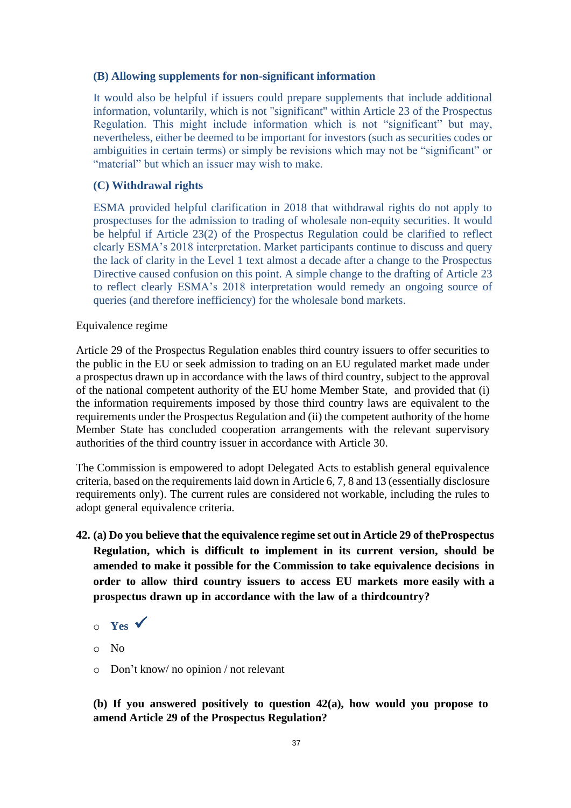### **(B) Allowing supplements for non-significant information**

It would also be helpful if issuers could prepare supplements that include additional information, voluntarily, which is not "significant" within Article 23 of the Prospectus Regulation. This might include information which is not "significant" but may, nevertheless, either be deemed to be important for investors (such as securities codes or ambiguities in certain terms) or simply be revisions which may not be "significant" or "material" but which an issuer may wish to make.

### **(C) Withdrawal rights**

ESMA provided helpful clarification in 2018 that withdrawal rights do not apply to prospectuses for the admission to trading of wholesale non-equity securities. It would be helpful if Article 23(2) of the Prospectus Regulation could be clarified to reflect clearly ESMA's 2018 interpretation. Market participants continue to discuss and query the lack of clarity in the Level 1 text almost a decade after a change to the Prospectus Directive caused confusion on this point. A simple change to the drafting of Article 23 to reflect clearly ESMA's 2018 interpretation would remedy an ongoing source of queries (and therefore inefficiency) for the wholesale bond markets.

### Equivalence regime

Article 29 of the Prospectus Regulation enables third country issuers to offer securities to the public in the EU or seek admission to trading on an EU regulated market made under a prospectus drawn up in accordance with the laws of third country, subject to the approval of the national competent authority of the EU home Member State, and provided that (i) the information requirements imposed by those third country laws are equivalent to the requirements under the Prospectus Regulation and (ii) the competent authority of the home Member State has concluded cooperation arrangements with the relevant supervisory authorities of the third country issuer in accordance with Article 30.

The Commission is empowered to adopt Delegated Acts to establish general equivalence criteria, based on the requirements laid down in Article 6, 7, 8 and 13 (essentially disclosure requirements only). The current rules are considered not workable, including the rules to adopt general equivalence criteria.

- **42. (a) Do you believe that the equivalence regime set out in Article 29 of theProspectus Regulation, which is difficult to implement in its current version, should be amended to make it possible for the Commission to take equivalence decisions in order to allow third country issuers to access EU markets more easily with a prospectus drawn up in accordance with the law of a thirdcountry?**
	- <sup>o</sup> **Yes** ✓
	- o No
	- o Don't know/ no opinion / not relevant

**(b) If you answered positively to question 42(a), how would you propose to amend Article 29 of the Prospectus Regulation?**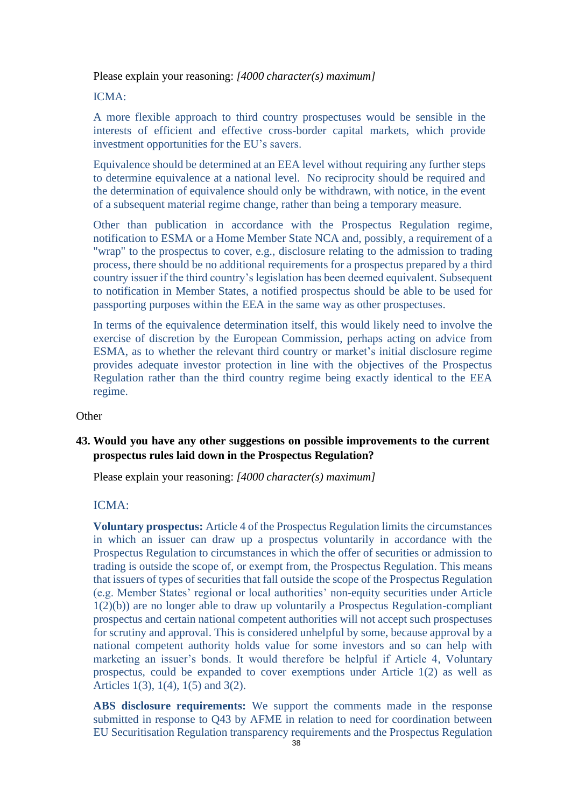Please explain your reasoning: *[4000 character(s) maximum]*

ICMA:

A more flexible approach to third country prospectuses would be sensible in the interests of efficient and effective cross-border capital markets, which provide investment opportunities for the EU's savers.

Equivalence should be determined at an EEA level without requiring any further steps to determine equivalence at a national level. No reciprocity should be required and the determination of equivalence should only be withdrawn, with notice, in the event of a subsequent material regime change, rather than being a temporary measure.

Other than publication in accordance with the Prospectus Regulation regime, notification to ESMA or a Home Member State NCA and, possibly, a requirement of a "wrap" to the prospectus to cover, e.g., disclosure relating to the admission to trading process, there should be no additional requirements for a prospectus prepared by a third country issuer if the third country's legislation has been deemed equivalent. Subsequent to notification in Member States, a notified prospectus should be able to be used for passporting purposes within the EEA in the same way as other prospectuses.

In terms of the equivalence determination itself, this would likely need to involve the exercise of discretion by the European Commission, perhaps acting on advice from ESMA, as to whether the relevant third country or market's initial disclosure regime provides adequate investor protection in line with the objectives of the Prospectus Regulation rather than the third country regime being exactly identical to the EEA regime.

**Other** 

# **43. Would you have any other suggestions on possible improvements to the current prospectus rules laid down in the Prospectus Regulation?**

Please explain your reasoning: *[4000 character(s) maximum]*

### ICMA:

**Voluntary prospectus:** Article 4 of the Prospectus Regulation limits the circumstances in which an issuer can draw up a prospectus voluntarily in accordance with the Prospectus Regulation to circumstances in which the offer of securities or admission to trading is outside the scope of, or exempt from, the Prospectus Regulation. This means that issuers of types of securities that fall outside the scope of the Prospectus Regulation (e.g. Member States' regional or local authorities' non-equity securities under Article 1(2)(b)) are no longer able to draw up voluntarily a Prospectus Regulation-compliant prospectus and certain national competent authorities will not accept such prospectuses for scrutiny and approval. This is considered unhelpful by some, because approval by a national competent authority holds value for some investors and so can help with marketing an issuer's bonds. It would therefore be helpful if Article 4, Voluntary prospectus, could be expanded to cover exemptions under Article 1(2) as well as Articles 1(3), 1(4), 1(5) and 3(2).

**ABS disclosure requirements:** We support the comments made in the response submitted in response to Q43 by AFME in relation to need for coordination between EU Securitisation Regulation transparency requirements and the Prospectus Regulation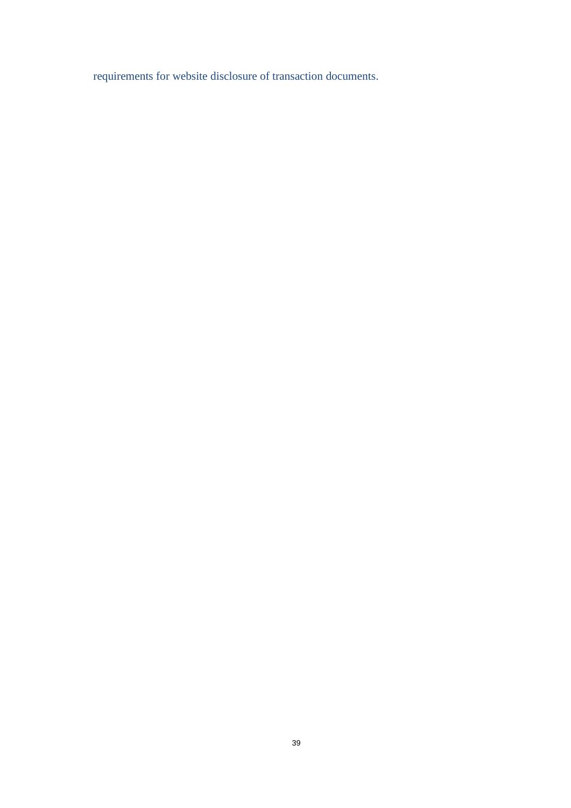requirements for website disclosure of transaction documents.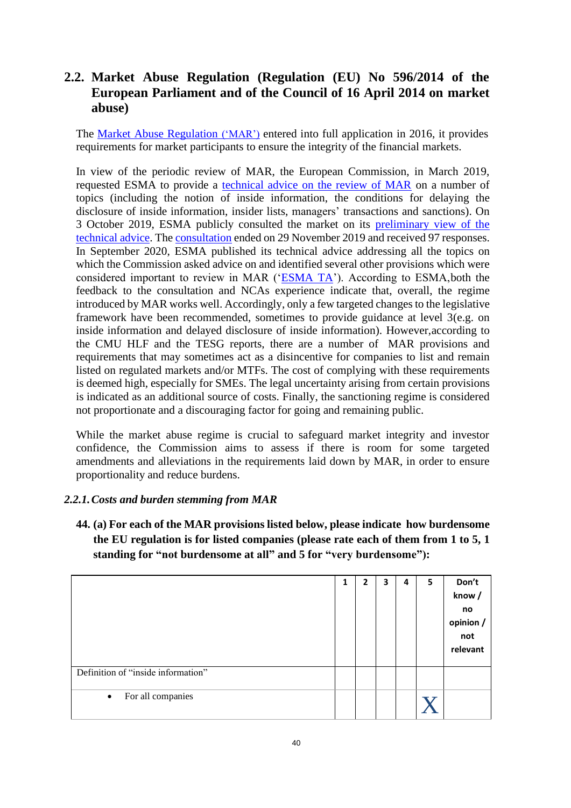# **2.2. Market Abuse Regulation (Regulation (EU) No 596/2014 of the European Parliament and of the Council of 16 April 2014 on market abuse)**

The Market Abuse [Regulation](https://eur-lex.europa.eu/legal-content/EN/TXT/?uri=CELEX%3A32014R0596) ('MAR') [e](https://eur-lex.europa.eu/legal-content/EN/TXT/?uri=CELEX%3A32014R0596)ntered into full application in 2016, it provides requirements for market participants to ensure the integrity of the financial markets.

In view of the periodic review of MAR, the European Commission, in March 2019, requested ESMA to provide a [technical advice on the review of MAR](https://www.esma.europa.eu/sites/default/files/library/esma_art_38_mar_mandate.pdf) on a number of topics (including the notion of inside information, the conditions for delaying the disclosure of inside information, insider lists, managers' transactions and sanctions). On 3 October 2019, ESMA publicly consulted the market on its [preliminary view of the](https://www.esma.europa.eu/sites/default/files/library/mar_review_-_cp.pdf) [technical](https://www.esma.europa.eu/sites/default/files/library/mar_review_-_cp.pdf) advice. The [consultation](https://www.esma.europa.eu/press-news/consultations/consultation-mar-review) ended on 29 November 2019 and received 97 responses. In September 2020, ESMA published its technical advice addressing all the topics on which the Commission asked advice on and identified several other provisions which were considered important to review in MAR (['ESMA TA'](https://www.esma.europa.eu/sites/default/files/library/esma70-156-2391_final_report_-_mar_review.pdf)). According to ESMA, both the feedback to the consultation and NCAs experience indicate that, overall, the regime introduced by MAR works well. Accordingly, only a few targeted changes to the legislative framework have been recommended, sometimes to provide guidance at level 3(e.g. on inside information and delayed disclosure of inside information). However,according to the CMU HLF and the TESG reports, there are a number of MAR provisions and requirements that may sometimes act as a disincentive for companies to list and remain listed on regulated markets and/or MTFs. The cost of complying with these requirements is deemed high, especially for SMEs. The legal uncertainty arising from certain provisions is indicated as an additional source of costs. Finally, the sanctioning regime is considered not proportionate and a discouraging factor for going and remaining public.

While the market abuse regime is crucial to safeguard market integrity and investor confidence, the Commission aims to assess if there is room for some targeted amendments and alleviations in the requirements laid down by MAR, in order to ensure proportionality and reduce burdens.

# *2.2.1.Costs and burden stemming from MAR*

**44. (a) For each of the MAR provisions listed below, please indicate how burdensome the EU regulation is for listed companies (please rate each of them from 1 to 5, 1 standing for "not burdensome at all" and 5 for "very burdensome"):**

|                                    | 1 | $\overline{2}$ | 3 | 4 | 5 | Don't<br>know/<br>no<br>opinion /<br>not<br>relevant |
|------------------------------------|---|----------------|---|---|---|------------------------------------------------------|
| Definition of "inside information" |   |                |   |   |   |                                                      |
| For all companies<br>$\bullet$     |   |                |   |   |   |                                                      |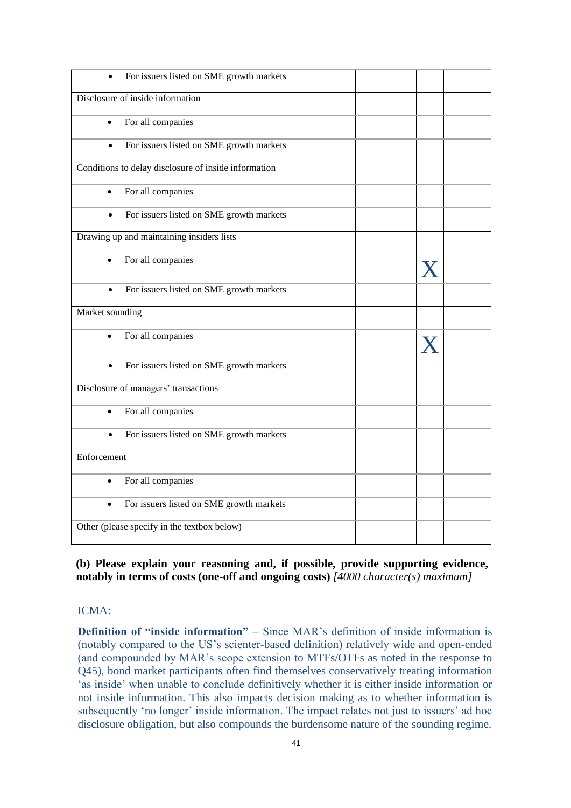| For issuers listed on SME growth markets              |  |   |  |
|-------------------------------------------------------|--|---|--|
| Disclosure of inside information                      |  |   |  |
| For all companies<br>$\bullet$                        |  |   |  |
| For issuers listed on SME growth markets<br>$\bullet$ |  |   |  |
| Conditions to delay disclosure of inside information  |  |   |  |
| For all companies<br>$\bullet$                        |  |   |  |
| For issuers listed on SME growth markets              |  |   |  |
| Drawing up and maintaining insiders lists             |  |   |  |
| For all companies<br>$\bullet$                        |  | X |  |
| For issuers listed on SME growth markets              |  |   |  |
| Market sounding                                       |  |   |  |
| For all companies                                     |  |   |  |
| For issuers listed on SME growth markets<br>$\bullet$ |  |   |  |
| Disclosure of managers' transactions                  |  |   |  |
| For all companies                                     |  |   |  |
| For issuers listed on SME growth markets              |  |   |  |
| Enforcement                                           |  |   |  |
| For all companies                                     |  |   |  |
| For issuers listed on SME growth markets<br>$\bullet$ |  |   |  |
| Other (please specify in the textbox below)           |  |   |  |

**(b) Please explain your reasoning and, if possible, provide supporting evidence, notably in terms of costs (one-off and ongoing costs)** *[4000 character(s) maximum]*

# ICMA:

**Definition of "inside information"** – Since MAR's definition of inside information is (notably compared to the US's scienter-based definition) relatively wide and open-ended (and compounded by MAR's scope extension to MTFs/OTFs as noted in the response to Q45), bond market participants often find themselves conservatively treating information 'as inside' when unable to conclude definitively whether it is either inside information or not inside information. This also impacts decision making as to whether information is subsequently 'no longer' inside information. The impact relates not just to issuers' ad hoc disclosure obligation, but also compounds the burdensome nature of the sounding regime.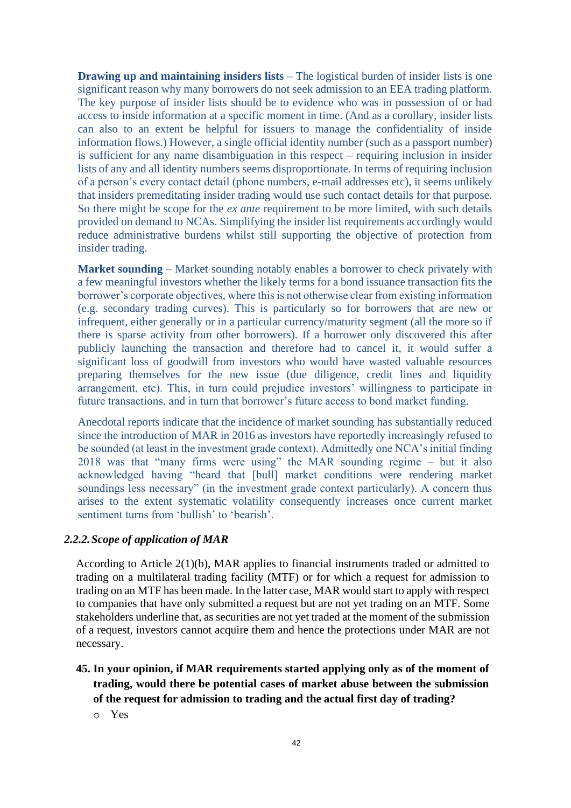**Drawing up and maintaining insiders lists** – The logistical burden of insider lists is one significant reason why many borrowers do not seek admission to an EEA trading platform. The key purpose of insider lists should be to evidence who was in possession of or had access to inside information at a specific moment in time. (And as a corollary, insider lists can also to an extent be helpful for issuers to manage the confidentiality of inside information flows.) However, a single official identity number (such as a passport number) is sufficient for any name disambiguation in this respect – requiring inclusion in insider lists of any and all identity numbers seems disproportionate. In terms of requiring inclusion of a person's every contact detail (phone numbers, e-mail addresses etc), it seems unlikely that insiders premeditating insider trading would use such contact details for that purpose. So there might be scope for the *ex ante* requirement to be more limited, with such details provided on demand to NCAs. Simplifying the insider list requirements accordingly would reduce administrative burdens whilst still supporting the objective of protection from insider trading.

**Market sounding** – Market sounding notably enables a borrower to check privately with a few meaningful investors whether the likely terms for a bond issuance transaction fits the borrower's corporate objectives, where this is not otherwise clear from existing information (e.g. secondary trading curves). This is particularly so for borrowers that are new or infrequent, either generally or in a particular currency/maturity segment (all the more so if there is sparse activity from other borrowers). If a borrower only discovered this after publicly launching the transaction and therefore had to cancel it, it would suffer a significant loss of goodwill from investors who would have wasted valuable resources preparing themselves for the new issue (due diligence, credit lines and liquidity arrangement, etc). This, in turn could prejudice investors' willingness to participate in future transactions, and in turn that borrower's future access to bond market funding.

Anecdotal reports indicate that the incidence of market sounding has substantially reduced since the introduction of MAR in 2016 as investors have reportedly increasingly refused to be sounded (at least in the investment grade context). Admittedly one NCA's initial finding 2018 was that "many firms were using" the MAR sounding regime – but it also acknowledged having "heard that [bull] market conditions were rendering market soundings less necessary" (in the investment grade context particularly). A concern thus arises to the extent systematic volatility consequently increases once current market sentiment turns from 'bullish' to 'bearish'.

### *2.2.2.Scope of application of MAR*

According to Article 2(1)(b), MAR applies to financial instruments traded or admitted to trading on a multilateral trading facility (MTF) or for which a request for admission to trading on an MTF has been made. In the latter case, MAR would start to apply with respect to companies that have only submitted a request but are not yet trading on an MTF. Some stakeholders underline that, as securities are not yet traded at the moment of the submission of a request, investors cannot acquire them and hence the protections under MAR are not necessary.

- **45. In your opinion, if MAR requirements started applying only as of the moment of trading, would there be potential cases of market abuse between the submission of the request for admission to trading and the actual first day of trading?**
	- o Yes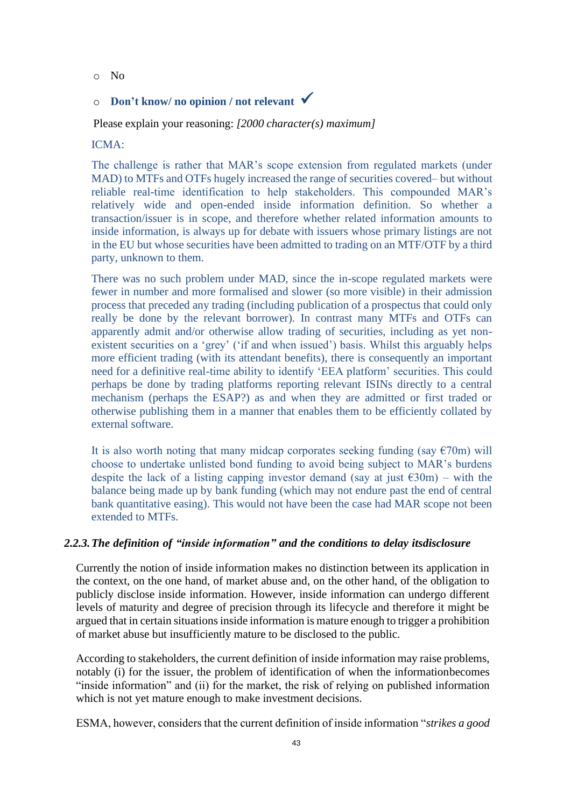o No

# <sup>o</sup> **Don't know/ no opinion / not relevant** ✓

Please explain your reasoning: *[2000 character(s) maximum]*

### ICMA:

The challenge is rather that MAR's scope extension from regulated markets (under MAD) to MTFs and OTFs hugely increased the range of securities covered– but without reliable real-time identification to help stakeholders. This compounded MAR's relatively wide and open-ended inside information definition. So whether a transaction/issuer is in scope, and therefore whether related information amounts to inside information, is always up for debate with issuers whose primary listings are not in the EU but whose securities have been admitted to trading on an MTF/OTF by a third party, unknown to them.

There was no such problem under MAD, since the in-scope regulated markets were fewer in number and more formalised and slower (so more visible) in their admission process that preceded any trading (including publication of a prospectus that could only really be done by the relevant borrower). In contrast many MTFs and OTFs can apparently admit and/or otherwise allow trading of securities, including as yet nonexistent securities on a 'grey' ('if and when issued') basis. Whilst this arguably helps more efficient trading (with its attendant benefits), there is consequently an important need for a definitive real-time ability to identify 'EEA platform' securities. This could perhaps be done by trading platforms reporting relevant ISINs directly to a central mechanism (perhaps the ESAP?) as and when they are admitted or first traded or otherwise publishing them in a manner that enables them to be efficiently collated by external software.

It is also worth noting that many midcap corporates seeking funding (say  $\epsilon$ 70m) will choose to undertake unlisted bond funding to avoid being subject to MAR's burdens despite the lack of a listing capping investor demand (say at just  $\epsilon$ 30m) – with the balance being made up by bank funding (which may not endure past the end of central bank quantitative easing). This would not have been the case had MAR scope not been extended to MTFs.

### *2.2.3.The definition of "inside information" and the conditions to delay itsdisclosure*

Currently the notion of inside information makes no distinction between its application in the context, on the one hand, of market abuse and, on the other hand, of the obligation to publicly disclose inside information. However, inside information can undergo different levels of maturity and degree of precision through its lifecycle and therefore it might be argued that in certain situations inside information is mature enough to trigger a prohibition of market abuse but insufficiently mature to be disclosed to the public.

According to stakeholders, the current definition of inside information may raise problems, notably (i) for the issuer, the problem of identification of when the informationbecomes "inside information" and (ii) for the market, the risk of relying on published information which is not yet mature enough to make investment decisions.

ESMA, however, considers that the current definition of inside information "*strikes a good*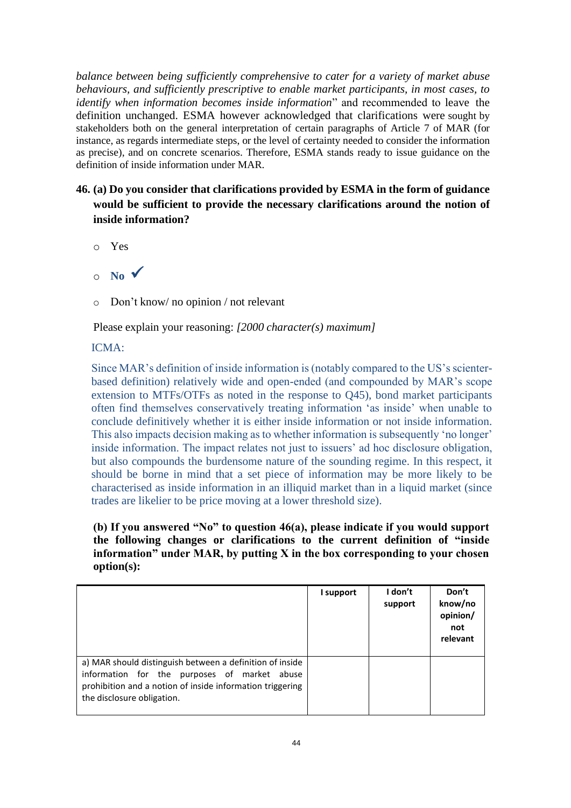*balance between being sufficiently comprehensive to cater for a variety of market abuse behaviours, and sufficiently prescriptive to enable market participants, in most cases, to identify when information becomes inside information*" and recommended to leave the definition unchanged. ESMA however acknowledged that clarifications were sought by stakeholders both on the general interpretation of certain paragraphs of Article 7 of MAR (for instance, as regards intermediate steps, or the level of certainty needed to consider the information as precise), and on concrete scenarios. Therefore, ESMA stands ready to issue guidance on the definition of inside information under MAR.

- **46. (a) Do you consider that clarifications provided by ESMA in the form of guidance would be sufficient to provide the necessary clarifications around the notion of inside information?**
	- o Yes
	- $\circ$  **No**  $\checkmark$
	- o Don't know/ no opinion / not relevant

Please explain your reasoning: *[2000 character(s) maximum]*

# ICMA:

Since MAR's definition of inside information is (notably compared to the US's scienterbased definition) relatively wide and open-ended (and compounded by MAR's scope extension to MTFs/OTFs as noted in the response to Q45), bond market participants often find themselves conservatively treating information 'as inside' when unable to conclude definitively whether it is either inside information or not inside information. This also impacts decision making as to whether information is subsequently 'no longer' inside information. The impact relates not just to issuers' ad hoc disclosure obligation, but also compounds the burdensome nature of the sounding regime. In this respect, it should be borne in mind that a set piece of information may be more likely to be characterised as inside information in an illiquid market than in a liquid market (since trades are likelier to be price moving at a lower threshold size).

**(b) If you answered "No" to question 46(a), please indicate if you would support the following changes or clarifications to the current definition of "inside information" under MAR, by putting X in the box corresponding to your chosen option(s):**

|                                                                                                                                                                                                     | I support | I don't<br>support | Don't<br>know/no<br>opinion/<br>not<br>relevant |
|-----------------------------------------------------------------------------------------------------------------------------------------------------------------------------------------------------|-----------|--------------------|-------------------------------------------------|
| a) MAR should distinguish between a definition of inside<br>information for the purposes of market abuse<br>prohibition and a notion of inside information triggering<br>the disclosure obligation. |           |                    |                                                 |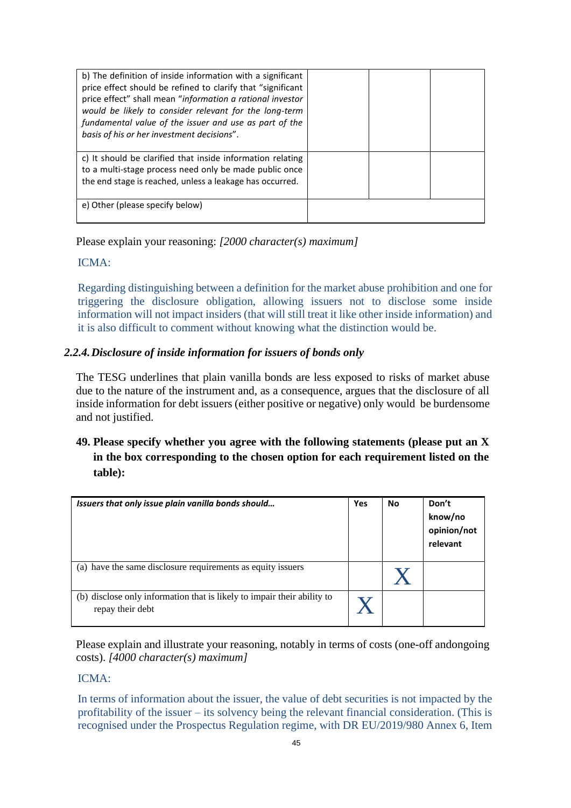| b) The definition of inside information with a significant<br>price effect should be refined to clarify that "significant<br>price effect" shall mean "information a rational investor<br>would be likely to consider relevant for the long-term<br>fundamental value of the issuer and use as part of the<br>basis of his or her investment decisions". |  |  |
|----------------------------------------------------------------------------------------------------------------------------------------------------------------------------------------------------------------------------------------------------------------------------------------------------------------------------------------------------------|--|--|
| c) It should be clarified that inside information relating<br>to a multi-stage process need only be made public once<br>the end stage is reached, unless a leakage has occurred.                                                                                                                                                                         |  |  |
| e) Other (please specify below)                                                                                                                                                                                                                                                                                                                          |  |  |

Please explain your reasoning: *[2000 character(s) maximum]*

### ICMA:

Regarding distinguishing between a definition for the market abuse prohibition and one for triggering the disclosure obligation, allowing issuers not to disclose some inside information will not impact insiders (that will still treat it like other inside information) and it is also difficult to comment without knowing what the distinction would be.

# *2.2.4.Disclosure of inside information for issuers of bonds only*

The TESG underlines that plain vanilla bonds are less exposed to risks of market abuse due to the nature of the instrument and, as a consequence, argues that the disclosure of all inside information for debt issuers (either positive or negative) only would be burdensome and not justified.

# **49. Please specify whether you agree with the following statements (please put an X in the box corresponding to the chosen option for each requirement listed on the table):**

| Issuers that only issue plain vanilla bonds should                                          | Yes | <b>No</b> | Don't<br>know/no<br>opinion/not<br>relevant |
|---------------------------------------------------------------------------------------------|-----|-----------|---------------------------------------------|
| (a) have the same disclosure requirements as equity issuers                                 |     |           |                                             |
| (b) disclose only information that is likely to impair their ability to<br>repay their debt |     |           |                                             |

Please explain and illustrate your reasoning, notably in terms of costs (one-off andongoing costs). *[4000 character(s) maximum]*

# ICMA:

In terms of information about the issuer, the value of debt securities is not impacted by the profitability of the issuer – its solvency being the relevant financial consideration. (This is recognised under the Prospectus Regulation regime, with DR EU/2019/980 Annex 6, Item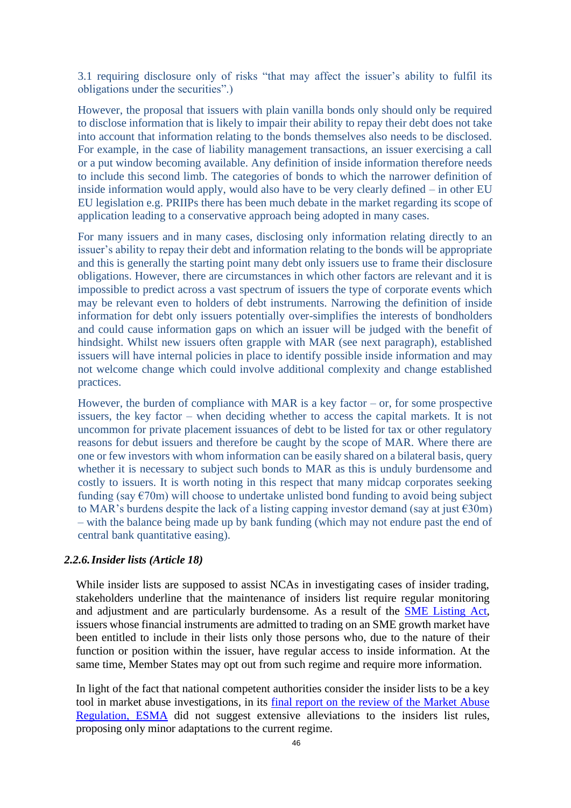3.1 requiring disclosure only of risks "that may affect the issuer's ability to fulfil its obligations under the securities".)

However, the proposal that issuers with plain vanilla bonds only should only be required to disclose information that is likely to impair their ability to repay their debt does not take into account that information relating to the bonds themselves also needs to be disclosed. For example, in the case of liability management transactions, an issuer exercising a call or a put window becoming available. Any definition of inside information therefore needs to include this second limb. The categories of bonds to which the narrower definition of inside information would apply, would also have to be very clearly defined – in other EU EU legislation e.g. PRIIPs there has been much debate in the market regarding its scope of application leading to a conservative approach being adopted in many cases.

For many issuers and in many cases, disclosing only information relating directly to an issuer's ability to repay their debt and information relating to the bonds will be appropriate and this is generally the starting point many debt only issuers use to frame their disclosure obligations. However, there are circumstances in which other factors are relevant and it is impossible to predict across a vast spectrum of issuers the type of corporate events which may be relevant even to holders of debt instruments. Narrowing the definition of inside information for debt only issuers potentially over-simplifies the interests of bondholders and could cause information gaps on which an issuer will be judged with the benefit of hindsight. Whilst new issuers often grapple with MAR (see next paragraph), established issuers will have internal policies in place to identify possible inside information and may not welcome change which could involve additional complexity and change established practices.

However, the burden of compliance with MAR is a key factor – or, for some prospective issuers, the key factor – when deciding whether to access the capital markets. It is not uncommon for private placement issuances of debt to be listed for tax or other regulatory reasons for debut issuers and therefore be caught by the scope of MAR. Where there are one or few investors with whom information can be easily shared on a bilateral basis, query whether it is necessary to subject such bonds to MAR as this is unduly burdensome and costly to issuers. It is worth noting in this respect that many midcap corporates seeking funding (say  $\epsilon$ 70m) will choose to undertake unlisted bond funding to avoid being subject to MAR's burdens despite the lack of a listing capping investor demand (say at just  $\epsilon$ 30m) – with the balance being made up by bank funding (which may not endure past the end of central bank quantitative easing).

### *2.2.6.Insider lists (Article 18)*

While insider lists are supposed to assist NCAs in investigating cases of insider trading, stakeholders underline that the maintenance of insiders list require regular monitoring and adjustment and are particularly burdensome. As a result of the [SME Listing Act,](https://eur-lex.europa.eu/legal-content/EN/TXT/?uri=CELEX%3A32019R2115) issuers whose financial instruments are admitted to trading on an SME growth market have been entitled to include in their lists only those persons who, due to the nature of their function or position within the issuer, have regular access to inside information. At the same time, Member States may opt out from such regime and require more information.

In light of the fact that national competent authorities consider the insider lists to be a key tool in market abuse investigations, in its [final report on the review of the Market Abuse](https://www.esma.europa.eu/sites/default/files/library/esma70-156-2391_final_report_-_mar_review.pdf) [Regulation,](https://www.esma.europa.eu/sites/default/files/library/esma70-156-2391_final_report_-_mar_review.pdf) ESMA did not suggest extensive alleviations to the insiders list rules, proposing only minor adaptations to the current regime.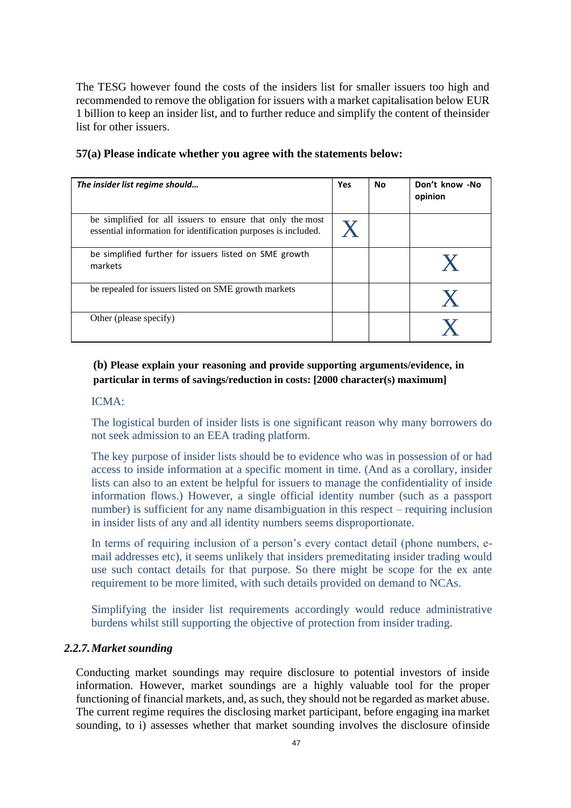The TESG however found the costs of the insiders list for smaller issuers too high and recommended to remove the obligation for issuers with a market capitalisation below EUR 1 billion to keep an insider list, and to further reduce and simplify the content of theinsider list for other issuers.

| The insider list regime should                                                                                               | Yes | <b>No</b> | Don't know -No<br>opinion |
|------------------------------------------------------------------------------------------------------------------------------|-----|-----------|---------------------------|
| be simplified for all issuers to ensure that only the most<br>essential information for identification purposes is included. |     |           |                           |
| be simplified further for issuers listed on SME growth<br>markets                                                            |     |           |                           |
| be repealed for issuers listed on SME growth markets                                                                         |     |           |                           |
| Other (please specify)                                                                                                       |     |           |                           |

### **57(a) Please indicate whether you agree with the statements below:**

# **(b) Please explain your reasoning and provide supporting arguments/evidence, in particular in terms of savings/reduction in costs: [2000 character(s) maximum]**

#### ICMA:

The logistical burden of insider lists is one significant reason why many borrowers do not seek admission to an EEA trading platform.

The key purpose of insider lists should be to evidence who was in possession of or had access to inside information at a specific moment in time. (And as a corollary, insider lists can also to an extent be helpful for issuers to manage the confidentiality of inside information flows.) However, a single official identity number (such as a passport number) is sufficient for any name disambiguation in this respect – requiring inclusion in insider lists of any and all identity numbers seems disproportionate.

In terms of requiring inclusion of a person's every contact detail (phone numbers, email addresses etc), it seems unlikely that insiders premeditating insider trading would use such contact details for that purpose. So there might be scope for the ex ante requirement to be more limited, with such details provided on demand to NCAs.

Simplifying the insider list requirements accordingly would reduce administrative burdens whilst still supporting the objective of protection from insider trading.

#### *2.2.7.Market sounding*

Conducting market soundings may require disclosure to potential investors of inside information. However, market soundings are a highly valuable tool for the proper functioning of financial markets, and, as such, they should not be regarded as market abuse. The current regime requires the disclosing market participant, before engaging ina market sounding, to i) assesses whether that market sounding involves the disclosure ofinside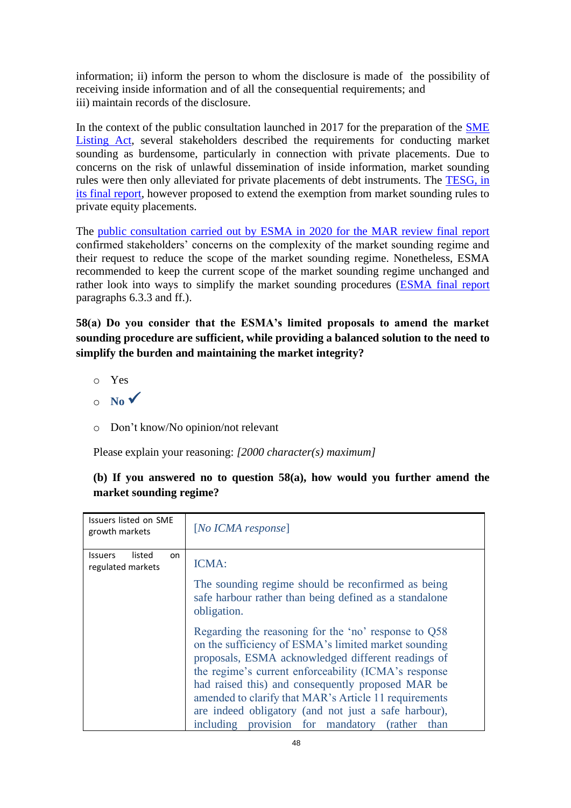information; ii) inform the person to whom the disclosure is made of the possibility of receiving inside information and of all the consequential requirements; and iii) maintain records of the disclosure.

In the context of the public consultation launched in 2017 for the preparation of the [SME](https://eur-lex.europa.eu/legal-content/EN/TXT/?uri=CELEX%3A32019R2115) [Listing](https://eur-lex.europa.eu/legal-content/EN/TXT/?uri=CELEX%3A32019R2115) Act, several stakeholders described the requirements for conducting market sounding as burdensome, particularly in connection with private placements. Due to concerns on the risk of unlawful dissemination of inside information, market sounding rules were then only alleviated for private placements of debt instruments. The [TESG, in](https://ec.europa.eu/info/files/210525-report-tesg-cmu-smes_en) [its final report, h](https://ec.europa.eu/info/files/210525-report-tesg-cmu-smes_en)owever proposed to extend the exemption from market sounding rules to private equity placements.

The [public consultation carried out by ESMA in 2020 for the MAR review final report](https://www.esma.europa.eu/sites/default/files/library/esma70-156-2391_final_report_-_mar_review.pdf) confirmed stakeholders' concerns on the complexity of the market sounding regime and their request to reduce the scope of the market sounding regime. Nonetheless, ESMA recommended to keep the current scope of the market sounding regime unchanged and rather look into ways to simplify the market sounding procedures [\(ESMA final report](https://www.esma.europa.eu/sites/default/files/library/esma70-156-2391_final_report_-_mar_review.pdf) paragraphs 6.3.3 and ff.).

**58(a) Do you consider that the ESMA's limited proposals to amend the market sounding procedure are sufficient, while providing a balanced solution to the need to simplify the burden and maintaining the market integrity?**

- o Yes
- $\circ$  **No**  $\checkmark$
- o Don't know/No opinion/not relevant

Please explain your reasoning: *[2000 character(s) maximum]*

# **(b) If you answered no to question 58(a), how would you further amend the market sounding regime?**

| Issuers listed on SME<br>growth markets              | [No ICHA response]                                                                                                                                                                                                                                                                                                                                                                                                                                 |
|------------------------------------------------------|----------------------------------------------------------------------------------------------------------------------------------------------------------------------------------------------------------------------------------------------------------------------------------------------------------------------------------------------------------------------------------------------------------------------------------------------------|
| listed<br><b>Issuers</b><br>on.<br>regulated markets | <b>ICMA:</b><br>The sounding regime should be reconfirmed as being<br>safe harbour rather than being defined as a standalone<br>obligation.                                                                                                                                                                                                                                                                                                        |
|                                                      | Regarding the reasoning for the 'no' response to Q58<br>on the sufficiency of ESMA's limited market sounding<br>proposals, ESMA acknowledged different readings of<br>the regime's current enforceability (ICMA's response<br>had raised this) and consequently proposed MAR be<br>amended to clarify that MAR's Article 11 requirements<br>are indeed obligatory (and not just a safe harbour),<br>including provision for mandatory (rather than |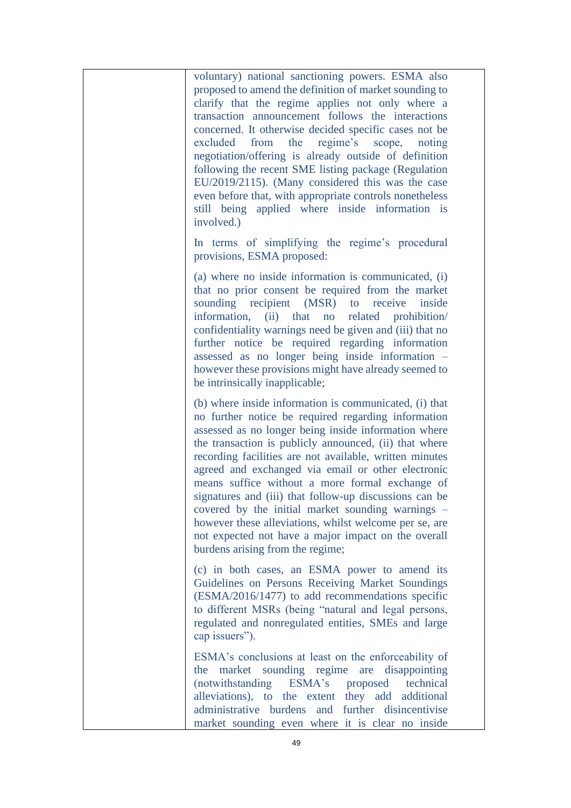voluntary) national sanctioning powers. ESMA also proposed to amend the definition of market sounding to clarify that the regime applies not only where a transaction announcement follows the interactions concerned. It otherwise decided specific cases not be excluded from the regime's scope, noting negotiation/offering is already outside of definition following the recent SME listing package (Regulation EU/2019/2115). (Many considered this was the case even before that, with appropriate controls nonetheless still being applied where inside information is involved.)

In terms of simplifying the regime's procedural provisions, ESMA proposed:

(a) where no inside information is communicated, (i) that no prior consent be required from the market sounding recipient (MSR) to receive inside information, (ii) that no related prohibition/ confidentiality warnings need be given and (iii) that no further notice be required regarding information assessed as no longer being inside information – however these provisions might have already seemed to be intrinsically inapplicable;

(b) where inside information is communicated, (i) that no further notice be required regarding information assessed as no longer being inside information where the transaction is publicly announced, (ii) that where recording facilities are not available, written minutes agreed and exchanged via email or other electronic means suffice without a more formal exchange of signatures and (iii) that follow-up discussions can be covered by the initial market sounding warnings – however these alleviations, whilst welcome per se, are not expected not have a major impact on the overall burdens arising from the regime;

(c) in both cases, an ESMA power to amend its Guidelines on Persons Receiving Market Soundings (ESMA/2016/1477) to add recommendations specific to different MSRs (being "natural and legal persons, regulated and nonregulated entities, SMEs and large cap issuers").

ESMA's conclusions at least on the enforceability of the market sounding regime are disappointing (notwithstanding ESMA's proposed technical alleviations), to the extent they add additional administrative burdens and further disincentivise market sounding even where it is clear no inside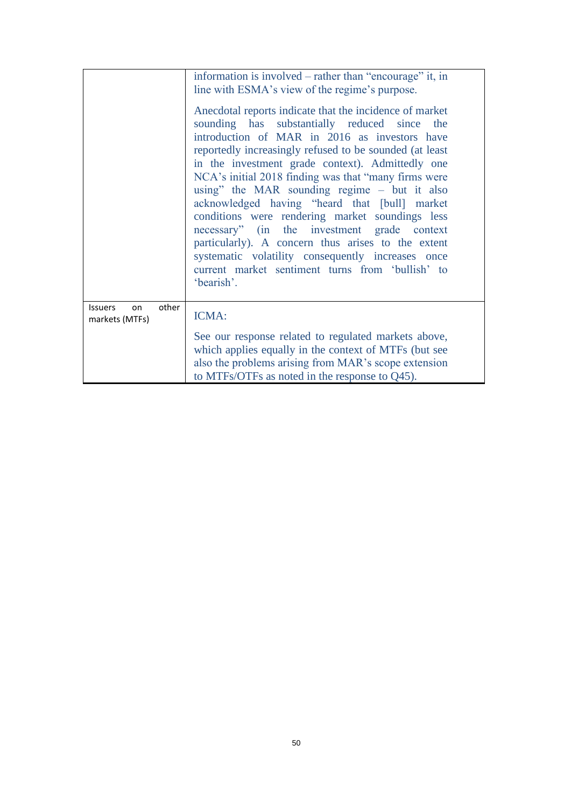|                                                 | information is involved – rather than "encourage" it, in<br>line with ESMA's view of the regime's purpose.<br>Anecdotal reports indicate that the incidence of market<br>sounding has substantially reduced since the<br>introduction of MAR in 2016 as investors have<br>reportedly increasingly refused to be sounded (at least<br>in the investment grade context). Admittedly one<br>NCA's initial 2018 finding was that "many firms were<br>using" the MAR sounding regime – but it also<br>acknowledged having "heard that [bull] market<br>conditions were rendering market soundings less<br>necessary" (in the investment grade context<br>particularly). A concern thus arises to the extent<br>systematic volatility consequently increases once<br>current market sentiment turns from 'bullish' to<br>'bearish'. |
|-------------------------------------------------|-------------------------------------------------------------------------------------------------------------------------------------------------------------------------------------------------------------------------------------------------------------------------------------------------------------------------------------------------------------------------------------------------------------------------------------------------------------------------------------------------------------------------------------------------------------------------------------------------------------------------------------------------------------------------------------------------------------------------------------------------------------------------------------------------------------------------------|
| other<br><b>Issuers</b><br>on<br>markets (MTFs) | ICMA:<br>See our response related to regulated markets above,<br>which applies equally in the context of MTFs (but see<br>also the problems arising from MAR's scope extension<br>to MTFs/OTFs as noted in the response to $Q45$ ).                                                                                                                                                                                                                                                                                                                                                                                                                                                                                                                                                                                           |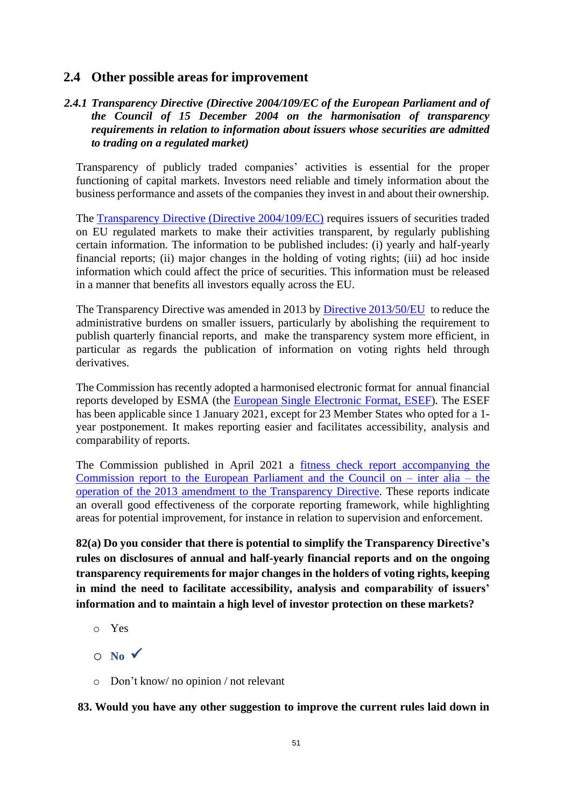# **2.4 Other possible areas for improvement**

# *2.4.1 Transparency Directive (Directive 2004/109/EC of the European Parliament and of the Council of 15 December 2004 on the harmonisation of transparency requirements in relation to information about issuers whose securities are admitted to trading on a regulated market)*

Transparency of publicly traded companies' activities is essential for the proper functioning of capital markets. Investors need reliable and timely information about the business performance and assets of the companies they invest in and about their ownership.

The [Transparency Directive \(Directive 2004/109/EC\)](https://eur-lex.europa.eu/legal-content/EN/TXT/?uri=CELEX%3A32004L0109) requires issuers of securities traded on EU regulated markets to make their activities transparent, by regularly publishing certain information. The information to be published includes: (i) yearly and half-yearly financial reports; (ii) major changes in the holding of voting rights; (iii) ad hoc inside information which could affect the price of securities. This information must be released in a manner that benefits all investors equally across the EU.

The Transparency Directive was amended in 2013 by Directive [2013/50/EU](https://eur-lex.europa.eu/legal-content/EN/TXT/?uri=CELEX%3A02013L0050-20131126) to reduce the administrative burdens on smaller issuers, particularly by abolishing the requirement to publish quarterly financial reports, and make the transparency system more efficient, in particular as regards the publication of information on voting rights held through derivatives.

The Commission has recently adopted a harmonised electronic format for annual financial reports developed by ESMA (the [European Single Electronic Format, ESEF\)](https://ec.europa.eu/info/business-economy-euro/company-reporting-and-auditing/company-reporting/transparency-requirements-listed-companies_en#esef). The ESEF has been applicable since 1 January 2021, except for 23 Member States who opted for a 1 year postponement. It makes reporting easier and facilitates accessibility, analysis and comparability of reports.

The Commission published in April 2021 a fitness check report [accompanying](https://eur-lex.europa.eu/legal-content/EN/TXT/?uri=CELEX%3A52021SC0081) the [Commission report to the European Parliament and the Council on –](https://eur-lex.europa.eu/legal-content/EN/TXT/?uri=CELEX%3A52021SC0081) inter alia – the operation of the 2013 amendment to the [Transparency](https://eur-lex.europa.eu/legal-content/EN/TXT/?uri=CELEX%3A52021SC0081) Directive. These reports indicate an overall good effectiveness of the corporate reporting framework, while highlighting areas for potential improvement, for instance in relation to supervision and enforcement.

**82(a) Do you consider that there is potential to simplify the Transparency Directive's rules on disclosures of annual and half-yearly financial reports and on the ongoing transparency requirements for major changes in the holders of voting rights, keeping in mind the need to facilitate accessibility, analysis and comparability of issuers' information and to maintain a high level of investor protection on these markets?**

- o Yes
- $\circ$  **No**  $\checkmark$
- o Don't know/ no opinion / not relevant

**83. Would you have any other suggestion to improve the current rules laid down in**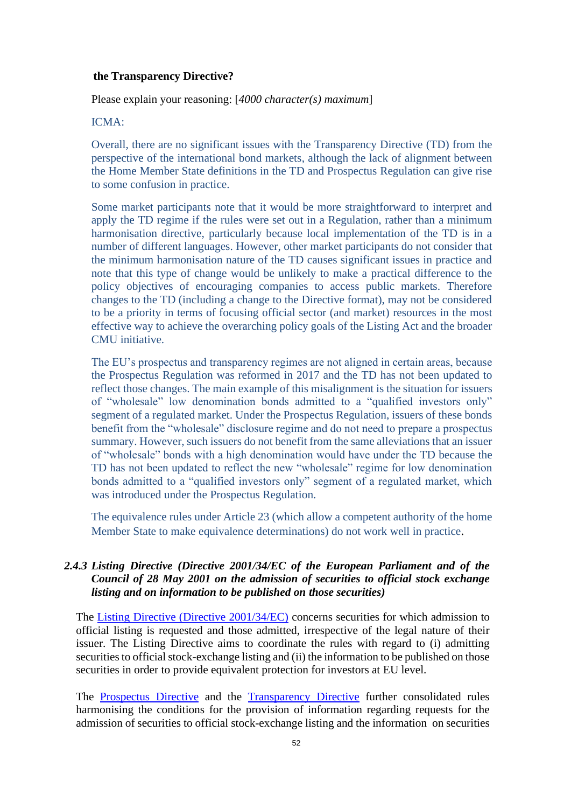#### **the Transparency Directive?**

Please explain your reasoning: [*4000 character(s) maximum*]

### ICMA:

Overall, there are no significant issues with the Transparency Directive (TD) from the perspective of the international bond markets, although the lack of alignment between the Home Member State definitions in the TD and Prospectus Regulation can give rise to some confusion in practice.

Some market participants note that it would be more straightforward to interpret and apply the TD regime if the rules were set out in a Regulation, rather than a minimum harmonisation directive, particularly because local implementation of the TD is in a number of different languages. However, other market participants do not consider that the minimum harmonisation nature of the TD causes significant issues in practice and note that this type of change would be unlikely to make a practical difference to the policy objectives of encouraging companies to access public markets. Therefore changes to the TD (including a change to the Directive format), may not be considered to be a priority in terms of focusing official sector (and market) resources in the most effective way to achieve the overarching policy goals of the Listing Act and the broader CMU initiative.

The EU's prospectus and transparency regimes are not aligned in certain areas, because the Prospectus Regulation was reformed in 2017 and the TD has not been updated to reflect those changes. The main example of this misalignment is the situation for issuers of "wholesale" low denomination bonds admitted to a "qualified investors only" segment of a regulated market. Under the Prospectus Regulation, issuers of these bonds benefit from the "wholesale" disclosure regime and do not need to prepare a prospectus summary. However, such issuers do not benefit from the same alleviations that an issuer of "wholesale" bonds with a high denomination would have under the TD because the TD has not been updated to reflect the new "wholesale" regime for low denomination bonds admitted to a "qualified investors only" segment of a regulated market, which was introduced under the Prospectus Regulation.

The equivalence rules under Article 23 (which allow a competent authority of the home Member State to make equivalence determinations) do not work well in practice.

# *2.4.3 Listing Directive (Directive 2001/34/EC of the European Parliament and of the Council of 28 May 2001 on the admission of securities to official stock exchange listing and on information to be published on those securities)*

The [Listing Directive \(Directive 2001/34/EC\)](https://eur-lex.europa.eu/legal-content/EN/TXT/?uri=CELEX%3A32001L0034) concerns securities for which admission to official listing is requested and those admitted, irrespective of the legal nature of their issuer. The Listing Directive aims to coordinate the rules with regard to (i) admitting securities to official stock-exchange listing and (ii) the information to be published on those securities in order to provide equivalent protection for investors at [EU](https://eur-lex.europa.eu/summary/glossary/eu_union.html) level.

The [Prospectus](https://eur-lex.europa.eu/legal-content/EN/TXT/?uri=CELEX%3A32017R1129) Directive and the [Transparency](https://eur-lex.europa.eu/legal-content/EN/TXT/?uri=CELEX%3A32004L0109) Directive further consolidated rules harmonising the conditions for the provision of information regarding requests for the admission of securities to official stock-exchange listing and the information on securities